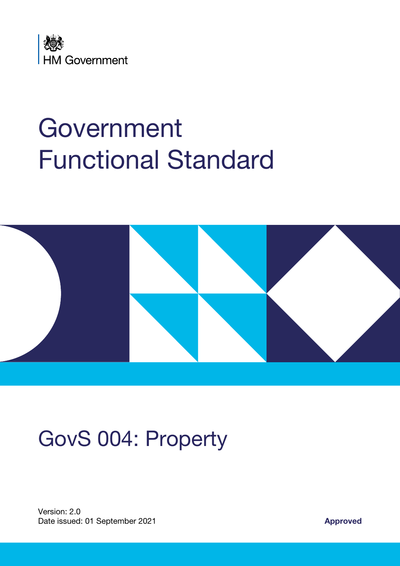

# Government Functional Standard



# GovS 004: Property

Version: 2.0 Date issued: 01 September 2021 **Approved**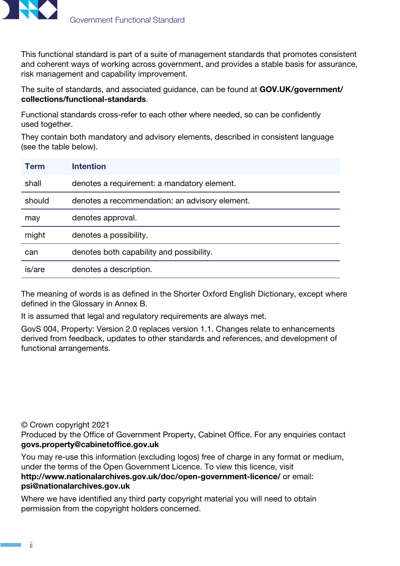

This functional standard is part of a suite of management standards that promotes consistent and coherent ways of working across government, and provides a stable basis for assurance, risk management and capability improvement.

The suite of standards, and associated guidance, can be found at [GOV.UK/government/](http://GOV.UK/government/collections/functional-standards) [collections/functional-standards](http://GOV.UK/government/collections/functional-standards).

Functional standards cross-refer to each other where needed, so can be confidently used together.

They contain both mandatory and advisory elements, described in consistent language (see the table below).

| <b>Term</b> | <b>Intention</b>                               |
|-------------|------------------------------------------------|
| shall       | denotes a requirement: a mandatory element.    |
| should      | denotes a recommendation: an advisory element. |
| may         | denotes approval.                              |
| might       | denotes a possibility.                         |
| can         | denotes both capability and possibility.       |
| is/are      | denotes a description.                         |

The meaning of words is as defined in the Shorter Oxford English Dictionary, except where defined in the Glossary in Annex B.

It is assumed that legal and regulatory requirements are always met.

GovS 004, Property: Version 2.0 replaces version 1.1. Changes relate to enhancements derived from feedback, updates to other standards and references, and development of functional arrangements.

© Crown copyright 2021

Produced by the Office of Government Property, Cabinet Office. For any enquiries contact [govs.property@cabinetoffice.gov.uk](mailto:govs.property%40cabinetoffice.gov.uk?subject=)

You may re-use this information (excluding logos) free of charge in any format or medium, under the terms of the Open Government Licence. To view this licence, visit <http://www.nationalarchives.gov.uk/doc/open-government-licence/> or email: [psi@nationalarchives.gov.uk](mailto:psi%40nationalarchives.gov.uk?subject=)

Where we have identified any third party copyright material you will need to obtain permission from the copyright holders concerned.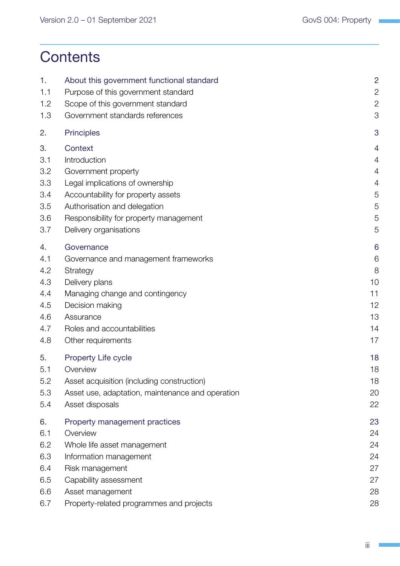## **Contents**

| 1.<br>1.1<br>1.2 | About this government functional standard<br>Purpose of this government standard<br>Scope of this government standard | $\overline{2}$<br>$\overline{c}$<br>$\overline{2}$ |
|------------------|-----------------------------------------------------------------------------------------------------------------------|----------------------------------------------------|
| 1.3              | Government standards references                                                                                       | 3                                                  |
| 2.               | <b>Principles</b>                                                                                                     | 3                                                  |
| 3.               | Context                                                                                                               | 4                                                  |
| 3.1              | Introduction                                                                                                          | 4                                                  |
| 3.2              | Government property                                                                                                   | 4                                                  |
| 3.3              | Legal implications of ownership                                                                                       | 4                                                  |
| 3.4              | Accountability for property assets                                                                                    | 5                                                  |
| 3.5              | Authorisation and delegation                                                                                          | 5                                                  |
| 3.6              | Responsibility for property management                                                                                | 5                                                  |
| 3.7              | Delivery organisations                                                                                                | 5                                                  |
| 4.               | Governance                                                                                                            | 6                                                  |
| 4.1              | Governance and management frameworks                                                                                  | 6                                                  |
| 4.2              | Strategy                                                                                                              | 8                                                  |
| 4.3              | Delivery plans                                                                                                        | 10                                                 |
| 4.4              | Managing change and contingency                                                                                       | 11                                                 |
| 4.5              | Decision making                                                                                                       | 12                                                 |
| 4.6              | Assurance                                                                                                             | 13                                                 |
| 4.7              | Roles and accountabilities                                                                                            | 14                                                 |
| 4.8              | Other requirements                                                                                                    | 17                                                 |
| 5.               | <b>Property Life cycle</b>                                                                                            | 18                                                 |
| 5.1              | Overview                                                                                                              | 18                                                 |
| 5.2              | Asset acquisition (including construction)                                                                            | 18                                                 |
| 5.3              | Asset use, adaptation, maintenance and operation                                                                      | 20                                                 |
| 5.4              | Asset disposals                                                                                                       | 22                                                 |
| 6.               | Property management practices                                                                                         | 23                                                 |
| 6.1              | Overview                                                                                                              | 24                                                 |
| 6.2              | Whole life asset management                                                                                           | 24                                                 |
| 6.3              | Information management                                                                                                | 24                                                 |
| 6.4              | Risk management                                                                                                       | 27                                                 |
| 6.5              | Capability assessment                                                                                                 | 27                                                 |
| 6.6              | Asset management                                                                                                      | 28                                                 |
| 6.7              | Property-related programmes and projects                                                                              | 28                                                 |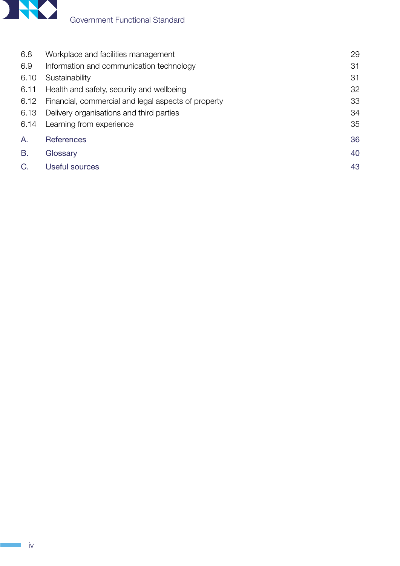

| 6.8  | Workplace and facilities management                 | 29 |
|------|-----------------------------------------------------|----|
| 6.9  | Information and communication technology            | 31 |
| 6.10 | Sustainability                                      | 31 |
| 6.11 | Health and safety, security and wellbeing           | 32 |
| 6.12 | Financial, commercial and legal aspects of property | 33 |
| 6.13 | Delivery organisations and third parties            | 34 |
| 6.14 | Learning from experience                            | 35 |
| Α.   | <b>References</b>                                   | 36 |
| B.   | Glossary                                            | 40 |
| C.   | <b>Useful sources</b>                               | 43 |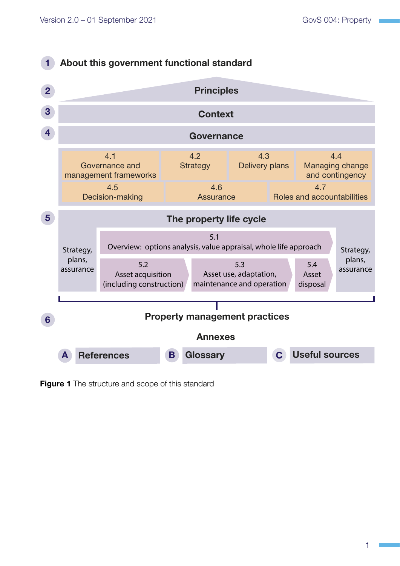

<span id="page-4-0"></span>**Figure 1** The structure and scope of this standard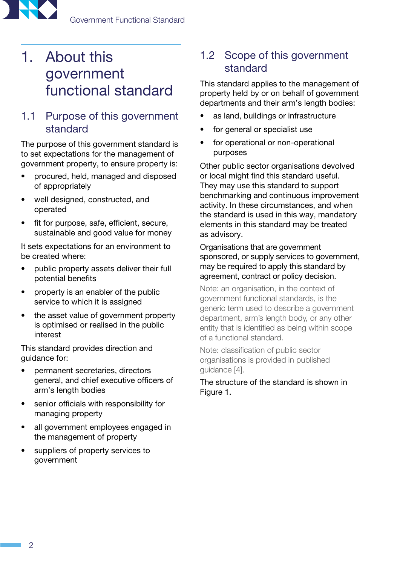<span id="page-5-0"></span>

## 1. About this government functional standard

## 1.1 Purpose of this government standard

The purpose of this government standard is to set expectations for the management of government property, to ensure property is:

- procured, held, managed and disposed of appropriately
- well designed, constructed, and operated
- fit for purpose, safe, efficient, secure, sustainable and good value for money

It sets expectations for an environment to be created where:

- public property assets deliver their full potential benefits
- property is an enabler of the public service to which it is assigned
- the asset value of government property is optimised or realised in the public interest

This standard provides direction and guidance for:

- permanent secretaries, directors general, and chief executive officers of arm's length bodies
- senior officials with responsibility for managing property
- all government employees engaged in the management of property
- suppliers of property services to government

## <span id="page-5-1"></span>1.2 Scope of this government standard

This standard applies to the management of property held by or on behalf of government departments and their arm's length bodies:

- as land, buildings or infrastructure
- for general or specialist use
- for operational or non-operational purposes

Other public sector organisations devolved or local might find this standard useful. They may use this standard to support benchmarking and continuous improvement activity. In these circumstances, and when the standard is used in this way, mandatory elements in this standard may be treated as advisory.

Organisations that are government sponsored, or supply services to government, may be required to apply this standard by agreement, contract or policy decision.

Note: an organisation, in the context of government functional standards, is the generic term used to describe a government department, arm's length body, or any other entity that is identified as being within scope of a functional standard.

Note: classification of public sector organisations is provided in published guidance [\[4\]](#page-39-1).

The structure of the standard is shown in [Figure 1](#page-4-0).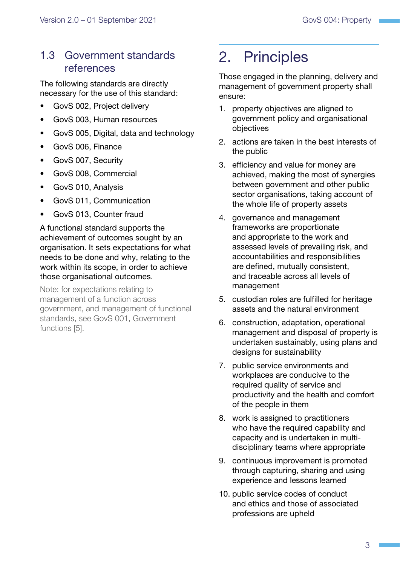## <span id="page-6-0"></span>1.3 Government standards references

The following standards are directly necessary for the use of this standard:

- GovS 002, Project delivery
- GovS 003, Human resources
- GovS 005, Digital, data and technology
- GovS 006, Finance
- GovS 007, Security
- GovS 008, Commercial
- GovS 010, Analysis
- GovS 011, Communication
- GovS 013, Counter fraud

A functional standard supports the achievement of outcomes sought by an organisation. It sets expectations for what needs to be done and why, relating to the work within its scope, in order to achieve those organisational outcomes.

Note: for expectations relating to management of a function across government, and management of functional standards, see GovS 001, Government functions [[5](#page-39-1)].

## 2. Principles

Those engaged in the planning, delivery and management of government property shall ensure:

- 1. property objectives are aligned to government policy and organisational objectives
- 2. actions are taken in the best interests of the public
- 3. efficiency and value for money are achieved, making the most of synergies between government and other public sector organisations, taking account of the whole life of property assets
- 4. governance and management frameworks are proportionate and appropriate to the work and assessed levels of prevailing risk, and accountabilities and responsibilities are defined, mutually consistent, and traceable across all levels of management
- 5. custodian roles are fulfilled for heritage assets and the natural environment
- 6. construction, adaptation, operational management and disposal of property is undertaken sustainably, using plans and designs for sustainability
- 7. public service environments and workplaces are conducive to the required quality of service and productivity and the health and comfort of the people in them
- 8. work is assigned to practitioners who have the required capability and capacity and is undertaken in multidisciplinary teams where appropriate
- 9. continuous improvement is promoted through capturing, sharing and using experience and lessons learned
- 10. public service codes of conduct and ethics and those of associated professions are upheld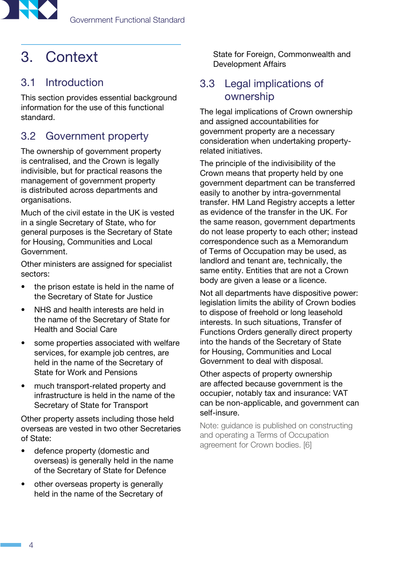<span id="page-7-0"></span>

## 3. Context

## 3.1 Introduction

This section provides essential background information for the use of this functional standard.

## 3.2 Government property

The ownership of government property is centralised, and the Crown is legally indivisible, but for practical reasons the management of government property is distributed across departments and organisations.

Much of the civil estate in the UK is vested in a single Secretary of State, who for general purposes is the Secretary of State for Housing, Communities and Local Government.

Other ministers are assigned for specialist sectors:

- the prison estate is held in the name of the Secretary of State for Justice
- NHS and health interests are held in the name of the Secretary of State for Health and Social Care
- some properties associated with welfare services, for example job centres, are held in the name of the Secretary of State for Work and Pensions
- much transport-related property and infrastructure is held in the name of the Secretary of State for Transport

Other property assets including those held overseas are vested in two other Secretaries of State:

- defence property (domestic and overseas) is generally held in the name of the Secretary of State for Defence
- other overseas property is generally held in the name of the Secretary of

State for Foreign, Commonwealth and Development Affairs

## 3.3 Legal implications of ownership

The legal implications of Crown ownership and assigned accountabilities for government property are a necessary consideration when undertaking propertyrelated initiatives.

The principle of the indivisibility of the Crown means that property held by one government department can be transferred easily to another by intra-governmental transfer. HM Land Registry accepts a letter as evidence of the transfer in the UK. For the same reason, government departments do not lease property to each other; instead correspondence such as a Memorandum of Terms of Occupation may be used, as landlord and tenant are, technically, the same entity. Entities that are not a Crown body are given a lease or a licence.

Not all departments have dispositive power: legislation limits the ability of Crown bodies to dispose of freehold or long leasehold interests. In such situations, Transfer of Functions Orders generally direct property into the hands of the Secretary of State for Housing, Communities and Local Government to deal with disposal.

Other aspects of property ownership are affected because government is the occupier, notably tax and insurance: VAT can be non-applicable, and government can self-insure.

Note: guidance is published on constructing and operating a Terms of Occupation agreement for Crown bodies. [[6](#page-39-1)]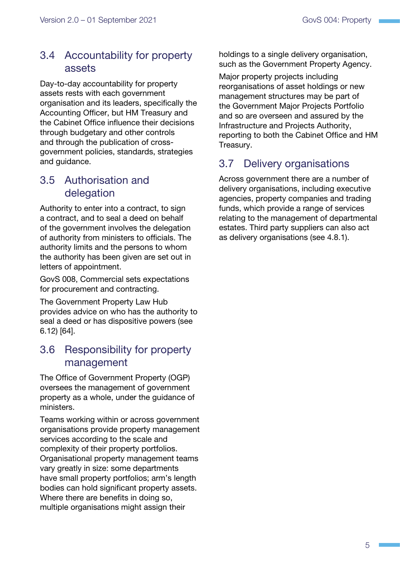## <span id="page-8-0"></span>3.4 Accountability for property assets

Day-to-day accountability for property assets rests with each government organisation and its leaders, specifically the Accounting Officer, but HM Treasury and the Cabinet Office influence their decisions through budgetary and other controls and through the publication of crossgovernment policies, standards, strategies and guidance.

## 3.5 Authorisation and delegation

Authority to enter into a contract, to sign a contract, and to seal a deed on behalf of the government involves the delegation of authority from ministers to officials. The authority limits and the persons to whom the authority has been given are set out in letters of appointment.

GovS 008, Commercial sets expectations for procurement and contracting.

The Government Property Law Hub provides advice on who has the authority to seal a deed or has dispositive powers ([see](#page-36-1)  [6.12\)](#page-36-1) [\[64\]](#page-41-0).

## 3.6 Responsibility for property management

The Office of Government Property (OGP) oversees the management of government property as a whole, under the guidance of ministers.

Teams working within or across government organisations provide property management services according to the scale and complexity of their property portfolios. Organisational property management teams vary greatly in size: some departments have small property portfolios; arm's length bodies can hold significant property assets. Where there are benefits in doing so, multiple organisations might assign their

holdings to a single delivery organisation, such as the Government Property Agency.

Major property projects including reorganisations of asset holdings or new management structures may be part of the Government Major Projects Portfolio and so are overseen and assured by the Infrastructure and Projects Authority, reporting to both the Cabinet Office and HM Treasury.

## 3.7 Delivery organisations

Across government there are a number of delivery organisations, including executive agencies, property companies and trading funds, which provide a range of services relating to the management of departmental estates. Third party suppliers can also act as delivery organisations ([see 4.8.1\)](#page-20-1).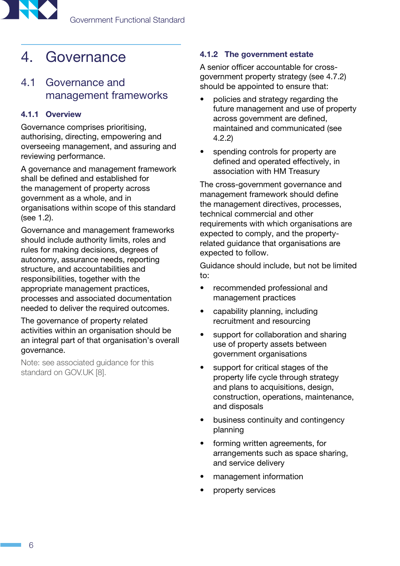<span id="page-9-0"></span>

## <span id="page-9-2"></span>4. Governance

## <span id="page-9-1"></span>4.1 Governance and management frameworks

#### 4.1.1 Overview

Governance comprises prioritising, authorising, directing, empowering and overseeing management, and assuring and reviewing performance.

A governance and management framework shall be defined and established for the management of property across government as a whole, and in organisations within scope of this standard [\(see 1.2](#page-5-1)).

Governance and management frameworks should include authority limits, roles and rules for making decisions, degrees of autonomy, assurance needs, reporting structure, and accountabilities and responsibilities, together with the appropriate management practices, processes and associated documentation needed to deliver the required outcomes.

The governance of property related activities within an organisation should be an integral part of that organisation's overall governance.

Note: see associated guidance for this standard on GOV.UK [\[8](#page-39-1)].

#### 4.1.2 The government estate

A senior officer accountable for crossgovernment property strategy [\(see 4.7.2](#page-18-0)) should be appointed to ensure that:

- policies and strategy regarding the future management and use of property across government are defined, maintained and communicated [\(see](#page-11-1)  [4.2.2](#page-11-1))
- spending controls for property are defined and operated effectively, in association with HM Treasury

The cross-government governance and management framework should define the management directives, processes, technical commercial and other requirements with which organisations are expected to comply, and the propertyrelated guidance that organisations are expected to follow.

Guidance should include, but not be limited to:

- recommended professional and management practices
- capability planning, including recruitment and resourcing
- support for collaboration and sharing use of property assets between government organisations
- support for critical stages of the property life cycle through strategy and plans to acquisitions, design, construction, operations, maintenance, and disposals
- business continuity and contingency planning
- forming written agreements, for arrangements such as space sharing, and service delivery
- management information
- property services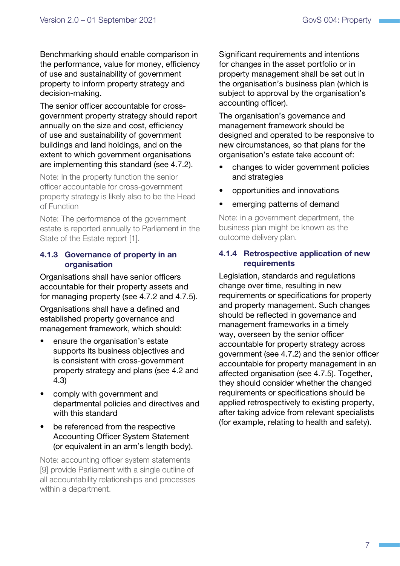Benchmarking should enable comparison in the performance, value for money, efficiency of use and sustainability of government property to inform property strategy and decision-making.

The senior officer accountable for crossgovernment property strategy should report annually on the size and cost, efficiency of use and sustainability of government buildings and land holdings, and on the extent to which government organisations are implementing this standard [\(see 4.7.2\)](#page-18-0).

Note: In the property function the senior officer accountable for cross-government property strategy is likely also to be the Head of Function

Note: The performance of the government estate is reported annually to Parliament in the State of the Estate report [\[1](#page-39-1)].

#### <span id="page-10-0"></span>4.1.3 Governance of property in an organisation

Organisations shall have senior officers accountable for their property assets and for managing property [\(see 4.7.2](#page-18-0) and [4.7.5\)](#page-19-0).

Organisations shall have a defined and established property governance and management framework, which should:

- ensure the organisation's estate supports its business objectives and is consistent with cross-government property strategy and plans ([see 4.2](#page-11-2) and [4.3](#page-13-1))
- comply with government and departmental policies and directives and with this standard
- be referenced from the respective Accounting Officer System Statement (or equivalent in an arm's length body).

Note: accounting officer system statements [\[9](#page-39-1)] provide Parliament with a single outline of all accountability relationships and processes within a department.

Significant requirements and intentions for changes in the asset portfolio or in property management shall be set out in the organisation's business plan (which is subject to approval by the organisation's accounting officer).

The organisation's governance and management framework should be designed and operated to be responsive to new circumstances, so that plans for the organisation's estate take account of:

- changes to wider government policies and strategies
- opportunities and innovations
- emerging patterns of demand

Note: in a government department, the business plan might be known as the outcome delivery plan.

#### 4.1.4 Retrospective application of new requirements

Legislation, standards and regulations change over time, resulting in new requirements or specifications for property and property management. Such changes should be reflected in governance and management frameworks in a timely way, overseen by the senior officer accountable for property strategy across government [\(see 4.7.2\)](#page-18-0) and the senior officer accountable for property management in an affected organisation [\(see 4.7.5\)](#page-19-0). Together, they should consider whether the changed requirements or specifications should be applied retrospectively to existing property, after taking advice from relevant specialists (for example, relating to health and safety).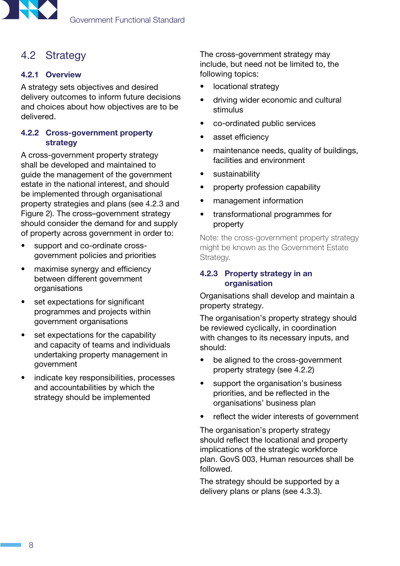<span id="page-11-0"></span>

## <span id="page-11-2"></span>4.2 Strategy

#### 4.2.1 Overview

A strategy sets objectives and desired delivery outcomes to inform future decisions and choices about how objectives are to be delivered.

#### <span id="page-11-1"></span>4.2.2 Cross-government property strategy

A cross-government property strategy shall be developed and maintained to guide the management of the government estate in the national interest, and should be implemented through organisational property strategies and plans ([see 4.2.3](#page-11-3) and [Figure 2\)](#page-12-0). The cross–government strategy should consider the demand for and supply of property across government in order to:

- support and co-ordinate crossgovernment policies and priorities
- maximise synergy and efficiency between different government organisations
- set expectations for significant programmes and projects within government organisations
- set expectations for the capability and capacity of teams and individuals undertaking property management in government
- indicate key responsibilities, processes and accountabilities by which the strategy should be implemented

The cross-government strategy may include, but need not be limited to, the following topics:

- locational strategy
- driving wider economic and cultural stimulus
- co-ordinated public services
- asset efficiency
- maintenance needs, quality of buildings, facilities and environment
- sustainability
- property profession capability
- management information
- transformational programmes for property

Note: the cross-government property strategy might be known as the Government Estate Strategy.

#### <span id="page-11-3"></span>4.2.3 Property strategy in an organisation

Organisations shall develop and maintain a property strategy.

The organisation's property strategy should be reviewed cyclically, in coordination with changes to its necessary inputs, and should:

- be aligned to the cross-government property strategy ([see 4.2.2\)](#page-11-1)
- support the organisation's business priorities, and be reflected in the organisations' business plan
- reflect the wider interests of government

The organisation's property strategy should reflect the locational and property implications of the strategic workforce plan. GovS 003, Human resources shall be followed.

The strategy should be supported by a delivery plans or plans [\(see 4.3.3](#page-13-2)).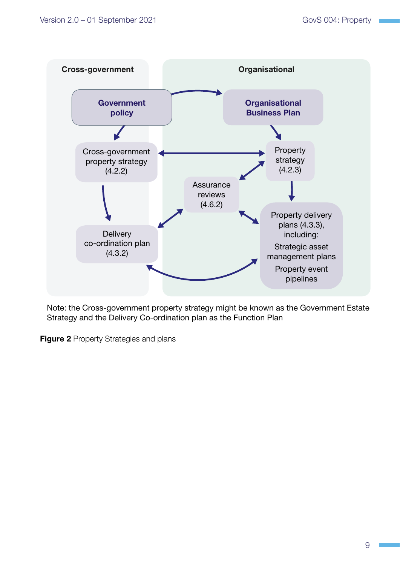

Note: the Cross-government property strategy might be known as the Government Estate Strategy and the Delivery Co-ordination plan as the Function Plan

<span id="page-12-0"></span>**Figure 2 Property Strategies and plans**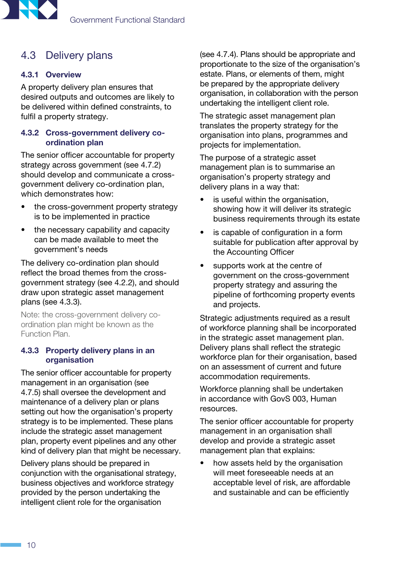<span id="page-13-0"></span>

## <span id="page-13-1"></span>4.3 Delivery plans

#### 4.3.1 Overview

A property delivery plan ensures that desired outputs and outcomes are likely to be delivered within defined constraints, to fulfil a property strategy.

#### <span id="page-13-3"></span>4.3.2 Cross-government delivery coordination plan

The senior officer accountable for property strategy across government [\(see 4.7.2](#page-18-0)) should develop and communicate a crossgovernment delivery co-ordination plan, which demonstrates how:

- the cross-government property strategy is to be implemented in practice
- the necessary capability and capacity can be made available to meet the government's needs

The delivery co-ordination plan should reflect the broad themes from the crossgovernment strategy [\(see 4.2.2](#page-11-1)), and should draw upon strategic asset management plans ([see 4.3.3](#page-13-2)).

Note: the cross-government delivery coordination plan might be known as the Function Plan.

#### <span id="page-13-2"></span>4.3.3 Property delivery plans in an organisation

The senior officer accountable for property management in an organisation [\(see](#page-19-0)  [4.7.5](#page-19-0)) shall oversee the development and maintenance of a delivery plan or plans setting out how the organisation's property strategy is to be implemented. These plans include the strategic asset management plan, property event pipelines and any other kind of delivery plan that might be necessary.

Delivery plans should be prepared in conjunction with the organisational strategy, business objectives and workforce strategy provided by the person undertaking the intelligent client role for the organisation

([see 4.7.4](#page-18-1)). Plans should be appropriate and proportionate to the size of the organisation's estate. Plans, or elements of them, might be prepared by the appropriate delivery organisation, in collaboration with the person undertaking the intelligent client role.

The strategic asset management plan translates the property strategy for the organisation into plans, programmes and projects for implementation.

The purpose of a strategic asset management plan is to summarise an organisation's property strategy and delivery plans in a way that:

- is useful within the organisation, showing how it will deliver its strategic business requirements through its estate
- is capable of configuration in a form suitable for publication after approval by the Accounting Officer
- supports work at the centre of government on the cross-government property strategy and assuring the pipeline of forthcoming property events and projects.

Strategic adjustments required as a result of workforce planning shall be incorporated in the strategic asset management plan. Delivery plans shall reflect the strategic workforce plan for their organisation, based on an assessment of current and future accommodation requirements.

Workforce planning shall be undertaken in accordance with GovS 003, Human resources.

The senior officer accountable for property management in an organisation shall develop and provide a strategic asset management plan that explains:

• how assets held by the organisation will meet foreseeable needs at an acceptable level of risk, are affordable and sustainable and can be efficiently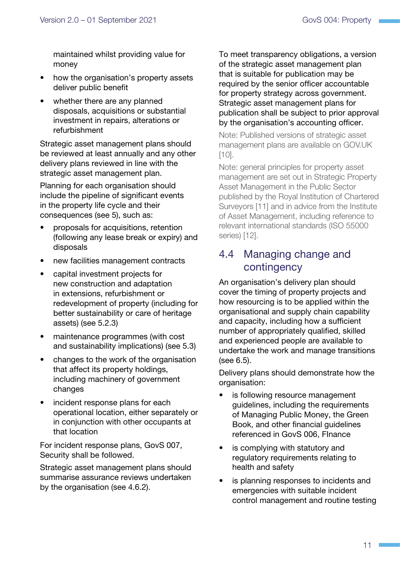<span id="page-14-0"></span>maintained whilst providing value for money

- how the organisation's property assets deliver public benefit
- whether there are any planned disposals, acquisitions or substantial investment in repairs, alterations or refurbishment

Strategic asset management plans should be reviewed at least annually and any other delivery plans reviewed in line with the strategic asset management plan.

Planning for each organisation should include the pipeline of significant events in the property life cycle and their consequences [\(see 5](#page-21-1)), such as:

- proposals for acquisitions, retention (following any lease break or expiry) and disposals
- new facilities management contracts
- capital investment projects for new construction and adaptation in extensions, refurbishment or redevelopment of property (including for better sustainability or care of heritage assets) ([see 5.2.3\)](#page-22-0)
- maintenance programmes (with cost and sustainability implications) ([see 5.3\)](#page-23-1)
- changes to the work of the organisation that affect its property holdings, including machinery of government changes
- incident response plans for each operational location, either separately or in conjunction with other occupants at that location

For incident response plans, GovS 007, Security shall be followed.

Strategic asset management plans should summarise assurance reviews undertaken by the organisation ([see 4.6.2\)](#page-17-1).

To meet transparency obligations, a version of the strategic asset management plan that is suitable for publication may be required by the senior officer accountable for property strategy across government. Strategic asset management plans for publication shall be subject to prior approval by the organisation's accounting officer.

Note: Published versions of strategic asset management plans are available on GOV.UK [[10](#page-39-1)].

Note: general principles for property asset management are set out in Strategic Property Asset Management in the Public Sector published by the Royal Institution of Chartered Surveyors [[11\]](#page-41-1) and in advice from the Institute of Asset Management, including reference to relevant international standards (ISO 55000 series) [\[12](#page-41-1)].

## 4.4 Managing change and contingency

An organisation's delivery plan should cover the timing of property projects and how resourcing is to be applied within the organisational and supply chain capability and capacity, including how a sufficient number of appropriately qualified, skilled and experienced people are available to undertake the work and manage transitions [\(see 6.5\)](#page-30-1).

Delivery plans should demonstrate how the organisation:

- is following resource management guidelines, including the requirements of Managing Public Money, the Green Book, and other financial guidelines referenced in GovS 006, FInance
- is complying with statutory and regulatory requirements relating to health and safety
- is planning responses to incidents and emergencies with suitable incident control management and routine testing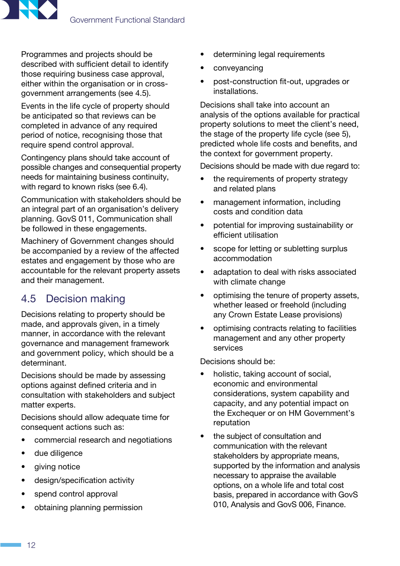<span id="page-15-0"></span>

Programmes and projects should be described with sufficient detail to identify those requiring business case approval, either within the organisation or in crossgovernment arrangements [\(see 4.5](#page-15-1)).

Events in the life cycle of property should be anticipated so that reviews can be completed in advance of any required period of notice, recognising those that require spend control approval.

Contingency plans should take account of possible changes and consequential property needs for maintaining business continuity, with regard to known risks ([see 6.4\)](#page-30-2).

Communication with stakeholders should be an integral part of an organisation's delivery planning. GovS 011, Communication shall be followed in these engagements.

Machinery of Government changes should be accompanied by a review of the affected estates and engagement by those who are accountable for the relevant property assets and their management.

## <span id="page-15-1"></span>4.5 Decision making

Decisions relating to property should be made, and approvals given, in a timely manner, in accordance with the relevant governance and management framework and government policy, which should be a determinant.

Decisions should be made by assessing options against defined criteria and in consultation with stakeholders and subject matter experts.

Decisions should allow adequate time for consequent actions such as:

- commercial research and negotiations
- due diligence
- giving notice
- design/specification activity
- spend control approval
- obtaining planning permission
- determining legal requirements
- conveyancing
- post-construction fit-out, upgrades or installations.

Decisions shall take into account an analysis of the options available for practical property solutions to meet the client's need, the stage of the property life cycle ([see 5\)](#page-21-1), predicted whole life costs and benefits, and the context for government property.

Decisions should be made with due regard to:

- the requirements of property strategy and related plans
- management information, including costs and condition data
- potential for improving sustainability or efficient utilisation
- scope for letting or subletting surplus accommodation
- adaptation to deal with risks associated with climate change
- optimising the tenure of property assets, whether leased or freehold (including any Crown Estate Lease provisions)
- optimising contracts relating to facilities management and any other property services

Decisions should be:

- holistic, taking account of social, economic and environmental considerations, system capability and capacity, and any potential impact on the Exchequer or on HM Government's reputation
- the subject of consultation and communication with the relevant stakeholders by appropriate means, supported by the information and analysis necessary to appraise the available options, on a whole life and total cost basis, prepared in accordance with GovS 010, Analysis and GovS 006, Finance.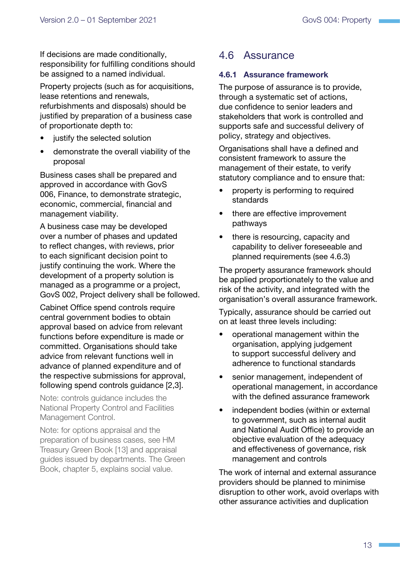<span id="page-16-0"></span>If decisions are made conditionally, responsibility for fulfilling conditions should be assigned to a named individual.

Property projects (such as for acquisitions, lease retentions and renewals, refurbishments and disposals) should be justified by preparation of a business case of proportionate depth to:

- justify the selected solution
- demonstrate the overall viability of the proposal

Business cases shall be prepared and approved in accordance with GovS 006, Finance, to demonstrate strategic, economic, commercial, financial and management viability.

A business case may be developed over a number of phases and updated to reflect changes, with reviews, prior to each significant decision point to justify continuing the work. Where the development of a property solution is managed as a programme or a project, GovS 002, Project delivery shall be followed.

Cabinet Office spend controls require central government bodies to obtain approval based on advice from relevant functions before expenditure is made or committed. Organisations should take advice from relevant functions well in advance of planned expenditure and of the respective submissions for approval, following spend controls guidance [[2,3\]](#page-39-1).

Note: controls guidance includes the National Property Control and Facilities Management Control.

Note: for options appraisal and the preparation of business cases, see HM Treasury Green Book [\[13\]](#page-39-1) and appraisal guides issued by departments. The Green Book, chapter 5, explains social value.

## <span id="page-16-1"></span>4.6 Assurance

#### 4.6.1 Assurance framework

The purpose of assurance is to provide, through a systematic set of actions, due confidence to senior leaders and stakeholders that work is controlled and supports safe and successful delivery of policy, strategy and objectives.

Organisations shall have a defined and consistent framework to assure the management of their estate, to verify statutory compliance and to ensure that:

- property is performing to required standards
- there are effective improvement pathways
- there is resourcing, capacity and capability to deliver foreseeable and planned requirements [\(see 4.6.3](#page-17-2))

The property assurance framework should be applied proportionately to the value and risk of the activity, and integrated with the organisation's overall assurance framework.

Typically, assurance should be carried out on at least three levels including:

- operational management within the organisation, applying judgement to support successful delivery and adherence to functional standards
- senior management, independent of operational management, in accordance with the defined assurance framework
- independent bodies (within or external to government, such as internal audit and National Audit Office) to provide an objective evaluation of the adequacy and effectiveness of governance, risk management and controls

The work of internal and external assurance providers should be planned to minimise disruption to other work, avoid overlaps with other assurance activities and duplication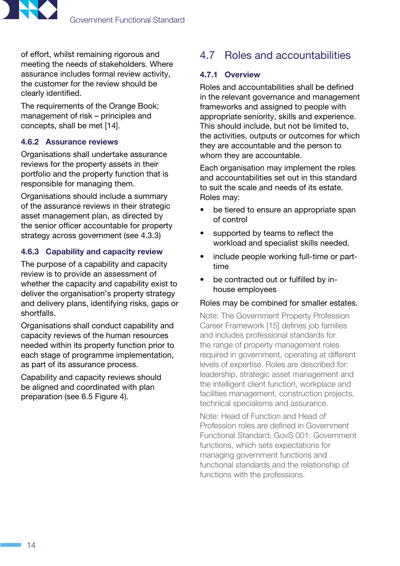<span id="page-17-0"></span>

of effort, whilst remaining rigorous and meeting the needs of stakeholders. Where assurance includes formal review activity, the customer for the review should be clearly identified.

The requirements of the Orange Book: management of risk – principles and concepts, shall be met [\[14\]](#page-39-1).

#### <span id="page-17-1"></span>4.6.2 Assurance reviews

Organisations shall undertake assurance reviews for the property assets in their portfolio and the property function that is responsible for managing them.

Organisations should include a summary of the assurance reviews in their strategic asset management plan, as directed by the senior officer accountable for property strategy across government [\(see 4.3.3](#page-13-2))

#### <span id="page-17-2"></span>4.6.3 Capability and capacity review

The purpose of a capability and capacity review is to provide an assessment of whether the capacity and capability exist to deliver the organisation's property strategy and delivery plans, identifying risks, gaps or shortfalls.

Organisations shall conduct capability and capacity reviews of the human resources needed within its property function prior to each stage of programme implementation, as part of its assurance process.

Capability and capacity reviews should be aligned and coordinated with plan preparation [\(see 6.5](#page-30-1) [Figure 4\)](#page-26-1).

## <span id="page-17-3"></span>4.7 Roles and accountabilities

#### 4.7.1 Overview

Roles and accountabilities shall be defined in the relevant governance and management frameworks and assigned to people with appropriate seniority, skills and experience. This should include, but not be limited to, the activities, outputs or outcomes for which they are accountable and the person to whom they are accountable.

Each organisation may implement the roles and accountabilities set out in this standard to suit the scale and needs of its estate. Roles may:

- be tiered to ensure an appropriate span of control
- supported by teams to reflect the workload and specialist skills needed.
- include people working full-time or parttime
- be contracted out or fulfilled by inhouse employees

#### Roles may be combined for smaller estates.

Note: The Government Property Profession Career Framework [[15](#page-39-1)] defines job families and includes professional standards for the range of property management roles required in government, operating at different levels of expertise. Roles are described for: leadership, strategic asset management and the intelligent client function, workplace and facilities management, construction projects, technical specialisms and assurance.

Note: Head of Function and Head of Profession roles are defined in Government Functional Standard, GovS 001: Government functions, which sets expectations for managing government functions and functional standards and the relationship of functions with the professions.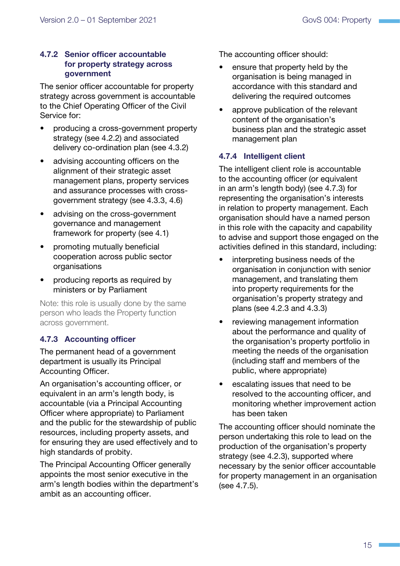#### <span id="page-18-0"></span>4.7.2 Senior officer accountable for property strategy across government

The senior officer accountable for property strategy across government is accountable to the Chief Operating Officer of the Civil Service for:

- producing a cross-government property strategy [\(see 4.2.2](#page-11-1)) and associated delivery co-ordination plan [\(see 4.3.2](#page-13-3))
- advising accounting officers on the alignment of their strategic asset management plans, property services and assurance processes with crossgovernment strategy [\(see 4.3.3](#page-13-2), [4.6\)](#page-16-1)
- advising on the cross-government governance and management framework for property [\(see 4.1](#page-9-1))
- promoting mutually beneficial cooperation across public sector organisations
- producing reports as required by ministers or by Parliament

Note: this role is usually done by the same person who leads the Property function across government.

#### <span id="page-18-2"></span>4.7.3 Accounting officer

The permanent head of a government department is usually its Principal Accounting Officer.

An organisation's accounting officer, or equivalent in an arm's length body, is accountable (via a Principal Accounting Officer where appropriate) to Parliament and the public for the stewardship of public resources, including property assets, and for ensuring they are used effectively and to high standards of probity.

The Principal Accounting Officer generally appoints the most senior executive in the arm's length bodies within the department's ambit as an accounting officer.

The accounting officer should:

- ensure that property held by the organisation is being managed in accordance with this standard and delivering the required outcomes
- approve publication of the relevant content of the organisation's business plan and the strategic asset management plan

#### <span id="page-18-1"></span>4.7.4 Intelligent client

The intelligent client role is accountable to the accounting officer (or equivalent in an arm's length body) ([see 4.7.3](#page-18-2)) for representing the organisation's interests in relation to property management. Each organisation should have a named person in this role with the capacity and capability to advise and support those engaged on the activities defined in this standard, including:

- interpreting business needs of the organisation in conjunction with senior management, and translating them into property requirements for the organisation's property strategy and plans [\(see 4.2.3](#page-11-3) and [4.3.3\)](#page-13-2)
- reviewing management information about the performance and quality of the organisation's property portfolio in meeting the needs of the organisation (including staff and members of the public, where appropriate)
- escalating issues that need to be resolved to the accounting officer, and monitoring whether improvement action has been taken

The accounting officer should nominate the person undertaking this role to lead on the production of the organisation's property strategy ([see 4.2.3\)](#page-11-3), supported where necessary by the senior officer accountable for property management in an organisation [\(see 4.7.5](#page-19-0)).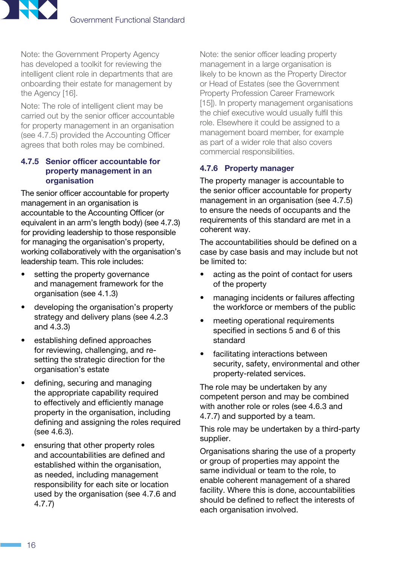

Note: the Government Property Agency has developed a toolkit for reviewing the intelligent client role in departments that are onboarding their estate for management by the Agency [\[16\]](#page-39-1).

Note: The role of intelligent client may be carried out by the senior officer accountable for property management in an organisation (see 4.7.5) provided the Accounting Officer agrees that both roles may be combined.

#### <span id="page-19-0"></span>4.7.5 Senior officer accountable for property management in an **organisation**

The senior officer accountable for property management in an organisation is accountable to the Accounting Officer (or equivalent in an arm's length body) [\(see 4.7.3](#page-18-2)) for providing leadership to those responsible for managing the organisation's property, working collaboratively with the organisation's leadership team. This role includes:

- setting the property governance and management framework for the organisation [\(see 4.1.3](#page-10-0))
- developing the organisation's property strategy and delivery plans [\(see 4.2.3](#page-11-3) and [4.3.3](#page-13-2))
- establishing defined approaches for reviewing, challenging, and resetting the strategic direction for the organisation's estate
- defining, securing and managing the appropriate capability required to effectively and efficiently manage property in the organisation, including defining and assigning the roles required [\(see 4.6.3](#page-17-2)).
- ensuring that other property roles and accountabilities are defined and established within the organisation, as needed, including management responsibility for each site or location used by the organisation ([see 4.7.6](#page-19-1) [and](#page-20-2)  [4.7.7\)](#page-20-2)

Note: the senior officer leading property management in a large organisation is likely to be known as the Property Director or Head of Estates (see the Government Property Profession Career Framework [[15\]](#page-39-1)). In property management organisations the chief executive would usually fulfil this role. Elsewhere it could be assigned to a management board member, for example as part of a wider role that also covers commercial responsibilities.

#### <span id="page-19-1"></span>4.7.6 Property manager

The property manager is accountable to the senior officer accountable for property management in an organisation ([see 4.7.5\)](#page-19-0) to ensure the needs of occupants and the requirements of this standard are met in a coherent way.

The accountabilities should be defined on a case by case basis and may include but not be limited to:

- acting as the point of contact for users of the property
- managing incidents or failures affecting the workforce or members of the public
- meeting operational requirements specified in sections [5](#page-21-1) and [6](#page-26-2) of this standard
- facilitating interactions between security, safety, environmental and other property-related services.

The role may be undertaken by any competent person and may be combined with another role or roles [\(see 4.6.3](#page-17-2) and [4.7.7](#page-20-2)) and supported by a team.

This role may be undertaken by a third-party supplier.

Organisations sharing the use of a property or group of properties may appoint the same individual or team to the role, to enable coherent management of a shared facility. Where this is done, accountabilities should be defined to reflect the interests of each organisation involved.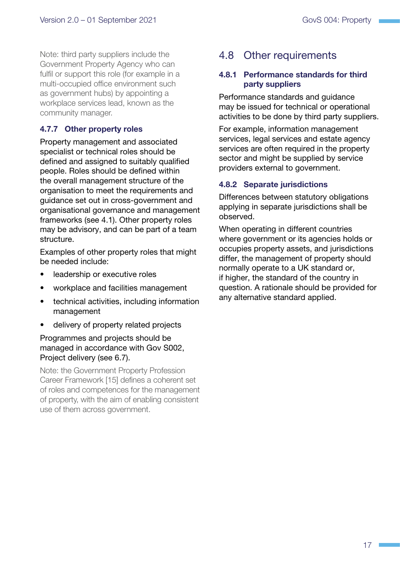<span id="page-20-0"></span>Note: third party suppliers include the Government Property Agency who can fulfil or support this role (for example in a multi-occupied office environment such as government hubs) by appointing a workplace services lead, known as the community manager.

#### <span id="page-20-2"></span>4.7.7 Other property roles

Property management and associated specialist or technical roles should be defined and assigned to suitably qualified people. Roles should be defined within the overall management structure of the organisation to meet the requirements and guidance set out in cross-government and organisational governance and management frameworks ([see 4.1\)](#page-9-1). Other property roles may be advisory, and can be part of a team structure.

Examples of other property roles that might be needed include:

- leadership or executive roles
- workplace and facilities management
- technical activities, including information management
- delivery of property related projects

#### Programmes and projects should be managed in accordance with Gov S002, Project delivery ([see 6.7\)](#page-31-1).

<span id="page-20-3"></span>Note: the Government Property Profession Career Framework [\[15](#page-39-1)] defines a coherent set of roles and competences for the management of property, with the aim of enabling consistent use of them across government.

### 4.8 Other requirements

#### <span id="page-20-1"></span>4.8.1 Performance standards for third party suppliers

Performance standards and guidance may be issued for technical or operational activities to be done by third party suppliers.

For example, information management services, legal services and estate agency services are often required in the property sector and might be supplied by service providers external to government.

#### 4.8.2 Separate jurisdictions

Differences between statutory obligations applying in separate jurisdictions shall be observed.

When operating in different countries where government or its agencies holds or occupies property assets, and jurisdictions differ, the management of property should normally operate to a UK standard or, if higher, the standard of the country in question. A rationale should be provided for any alternative standard applied.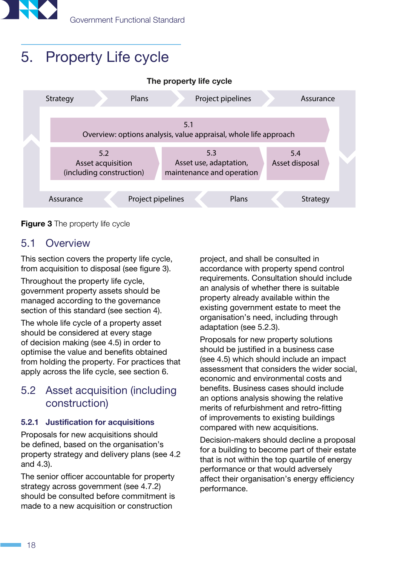<span id="page-21-0"></span>

## <span id="page-21-1"></span>5. Property Life cycle



<span id="page-21-2"></span>

### 5.1 Overview

This section covers the property life cycle, from acquisition to disposal ([see figure 3](#page-21-2)).

Throughout the property life cycle, government property assets should be managed according to the governance section of this standard ([see section 4\)](#page-9-2).

The whole life cycle of a property asset should be considered at every stage of decision making ([see 4.5\)](#page-15-1) in order to optimise the value and benefits obtained from holding the property. For practices that apply across the life cycle, [see section 6.](#page-26-2)

## 5.2 Asset acquisition (including construction)

#### 5.2.1 Justification for acquisitions

Proposals for new acquisitions should be defined, based on the organisation's property strategy and delivery plans [\(see 4.2](#page-11-2)  and [4.3](#page-13-1)).

The senior officer accountable for property strategy across government [\(see 4.7.2](#page-18-0)) should be consulted before commitment is made to a new acquisition or construction

project, and shall be consulted in accordance with property spend control requirements. Consultation should include an analysis of whether there is suitable property already available within the existing government estate to meet the organisation's need, including through adaptation [\(see 5.2.3](#page-22-0)).

Proposals for new property solutions should be justified in a business case ([see 4.5\)](#page-15-1) which should include an impact assessment that considers the wider social, economic and environmental costs and benefits. Business cases should include an options analysis showing the relative merits of refurbishment and retro-fitting of improvements to existing buildings compared with new acquisitions.

Decision-makers should decline a proposal for a building to become part of their estate that is not within the top quartile of energy performance or that would adversely affect their organisation's energy efficiency performance.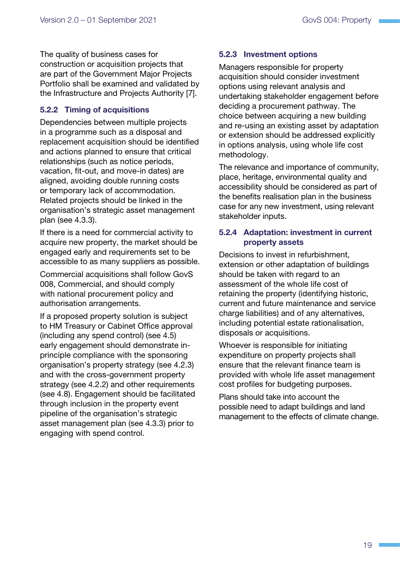The quality of business cases for construction or acquisition projects that are part of the Government Major Projects Portfolio shall be examined and validated by the Infrastructure and Projects Authority [\[7\]](#page-39-1).

#### 5.2.2 Timing of acquisitions

Dependencies between multiple projects in a programme such as a disposal and replacement acquisition should be identified and actions planned to ensure that critical relationships (such as notice periods, vacation, fit-out, and move-in dates) are aligned, avoiding double running costs or temporary lack of accommodation. Related projects should be linked in the organisation's strategic asset management plan ([see 4.3.3\)](#page-13-2).

If there is a need for commercial activity to acquire new property, the market should be engaged early and requirements set to be accessible to as many suppliers as possible.

Commercial acquisitions shall follow GovS 008, Commercial, and should comply with national procurement policy and authorisation arrangements.

If a proposed property solution is subject to HM Treasury or Cabinet Office approval (including any spend control) [\(see 4.5](#page-15-1)) early engagement should demonstrate inprinciple compliance with the sponsoring organisation's property strategy ([see 4.2.3\)](#page-11-3) and with the cross-government property strategy [\(see 4.2.2](#page-11-1)) and other requirements ([see 4.8\)](#page-20-3). Engagement should be facilitated through inclusion in the property event pipeline of the organisation's strategic asset management plan [\(see 4.3.3](#page-13-2)) prior to engaging with spend control.

#### <span id="page-22-0"></span>5.2.3 Investment options

Managers responsible for property acquisition should consider investment options using relevant analysis and undertaking stakeholder engagement before deciding a procurement pathway. The choice between acquiring a new building and re-using an existing asset by adaptation or extension should be addressed explicitly in options analysis, using whole life cost methodology.

The relevance and importance of community, place, heritage, environmental quality and accessibility should be considered as part of the benefits realisation plan in the business case for any new investment, using relevant stakeholder inputs.

#### 5.2.4 Adaptation: investment in current property assets

Decisions to invest in refurbishment, extension or other adaptation of buildings should be taken with regard to an assessment of the whole life cost of retaining the property (identifying historic, current and future maintenance and service charge liabilities) and of any alternatives, including potential estate rationalisation, disposals or acquisitions.

Whoever is responsible for initiating expenditure on property projects shall ensure that the relevant finance team is provided with whole life asset management cost profiles for budgeting purposes.

Plans should take into account the possible need to adapt buildings and land management to the effects of climate change.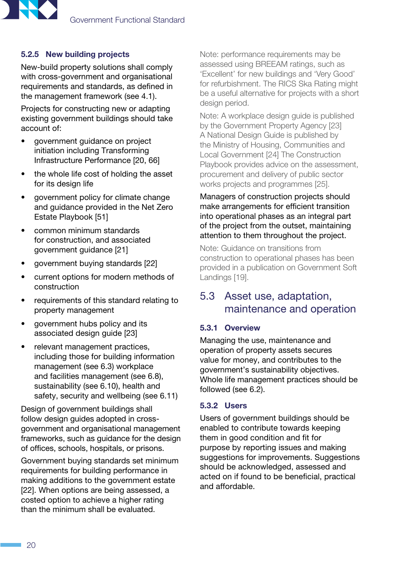<span id="page-23-0"></span>

#### 5.2.5 New building projects

New-build property solutions shall comply with cross-government and organisational requirements and standards, as defined in the management framework [\(see 4.1](#page-9-1)).

Projects for constructing new or adapting existing government buildings should take account of:

- government guidance on project initiation including Transforming Infrastructure Performance [\[20,](#page-39-1) [66\]](#page-41-0)
- the whole life cost of holding the asset for its design life
- government policy for climate change and guidance provided in the Net Zero Estate Playbook [[51\]](#page-40-0)
- common minimum standards for construction, and associated government guidance [\[21\]](#page-39-1)
- government buying standards [[22](#page-39-1)]
- current options for modern methods of construction
- requirements of this standard relating to property management
- government hubs policy and its associated design guide [[23](#page-39-1)]
- relevant management practices, including those for building information management ([see 6.3\)](#page-27-1) workplace and facilities management ([see 6.8\)](#page-32-1), sustainability [\(see 6.10\)](#page-34-1), health and safety, security and wellbeing ([see 6.11](#page-35-1))

Design of government buildings shall follow design guides adopted in crossgovernment and organisational management frameworks, such as guidance for the design of offices, schools, hospitals, or prisons.

Government buying standards set minimum requirements for building performance in making additions to the government estate [\[22\]](#page-39-1). When options are being assessed, a costed option to achieve a higher rating than the minimum shall be evaluated.

Note: performance requirements may be assessed using BREEAM ratings, such as 'Excellent' for new buildings and 'Very Good' for refurbishment. The RICS Ska Rating might be a useful alternative for projects with a short design period.

Note: A workplace design guide is published by the Government Property Agency [\[23\]](#page-39-1) A National Design Guide is published by the Ministry of Housing, Communities and Local Government [\[24](#page-39-1)] The Construction Playbook provides advice on the assessment, procurement and delivery of public sector works projects and programmes [\[25\]](#page-40-0).

Managers of construction projects should make arrangements for efficient transition into operational phases as an integral part of the project from the outset, maintaining attention to them throughout the project.

Note: Guidance on transitions from construction to operational phases has been provided in a publication on Government Soft Landings [[19](#page-41-1)].

## <span id="page-23-1"></span>5.3 Asset use, adaptation, maintenance and operation

#### 5.3.1 Overview

Managing the use, maintenance and operation of property assets secures value for money, and contributes to the government's sustainability objectives. Whole life management practices should be followed [\(see 6.2](#page-27-2)).

#### 5.3.2 Users

Users of government buildings should be enabled to contribute towards keeping them in good condition and fit for purpose by reporting issues and making suggestions for improvements. Suggestions should be acknowledged, assessed and acted on if found to be beneficial, practical and affordable.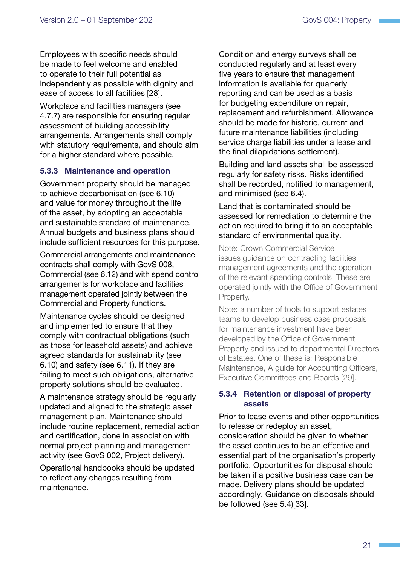Employees with specific needs should be made to feel welcome and enabled to operate to their full potential as independently as possible with dignity and ease of access to all facilities [[28](#page-40-0)].

Workplace and facilities managers ([see](#page-20-2)  [4.7.7](#page-20-2)) are responsible for ensuring regular assessment of building accessibility arrangements. Arrangements shall comply with statutory requirements, and should aim for a higher standard where possible.

#### 5.3.3 Maintenance and operation

Government property should be managed to achieve decarbonisation ([see 6.10](#page-34-1)) and value for money throughout the life of the asset, by adopting an acceptable and sustainable standard of maintenance. Annual budgets and business plans should include sufficient resources for this purpose.

Commercial arrangements and maintenance contracts shall comply with GovS 008, Commercial [\(see 6.12](#page-36-1)) and with spend control arrangements for workplace and facilities management operated jointly between the Commercial and Property functions.

Maintenance cycles should be designed and implemented to ensure that they comply with contractual obligations (such as those for leasehold assets) and achieve agreed standards for sustainability ([see](#page-34-1)  [6.10\)](#page-34-1) and safety ([see 6.11](#page-35-1)). If they are failing to meet such obligations, alternative property solutions should be evaluated.

A maintenance strategy should be regularly updated and aligned to the strategic asset management plan. Maintenance should include routine replacement, remedial action and certification, done in association with normal project planning and management activity (see GovS 002, Project delivery).

Operational handbooks should be updated to reflect any changes resulting from maintenance.

Condition and energy surveys shall be conducted regularly and at least every five years to ensure that management information is available for quarterly reporting and can be used as a basis for budgeting expenditure on repair, replacement and refurbishment. Allowance should be made for historic, current and future maintenance liabilities (including service charge liabilities under a lease and the final dilapidations settlement).

Building and land assets shall be assessed regularly for safety risks. Risks identified shall be recorded, notified to management, and minimised ([see 6.4\)](#page-30-2).

#### Land that is contaminated should be assessed for remediation to determine the action required to bring it to an acceptable standard of environmental quality.

Note: Crown Commercial Service issues guidance on contracting facilities management agreements and the operation of the relevant spending controls. These are operated jointly with the Office of Government Property.

Note: a number of tools to support estates teams to develop business case proposals for maintenance investment have been developed by the Office of Government Property and issued to departmental Directors of Estates. One of these is: Responsible Maintenance, A guide for Accounting Officers, Executive Committees and Boards [[29](#page-40-0)].

#### 5.3.4 Retention or disposal of property assets

Prior to lease events and other opportunities to release or redeploy an asset, consideration should be given to whether the asset continues to be an effective and essential part of the organisation's property portfolio. Opportunities for disposal should be taken if a positive business case can be made. Delivery plans should be updated accordingly. Guidance on disposals should be followed ([see 5.4\)](#page-25-1)[[33](#page-40-0)].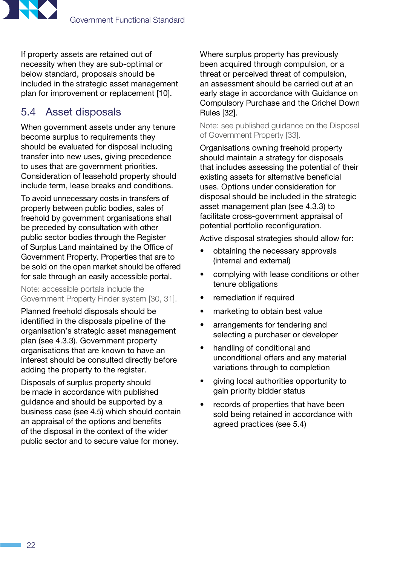<span id="page-25-0"></span>

If property assets are retained out of necessity when they are sub-optimal or below standard, proposals should be included in the strategic asset management plan for improvement or replacement [\[10\]](#page-39-1).

## <span id="page-25-1"></span>5.4 Asset disposals

When government assets under any tenure become surplus to requirements they should be evaluated for disposal including transfer into new uses, giving precedence to uses that are government priorities. Consideration of leasehold property should include term, lease breaks and conditions.

To avoid unnecessary costs in transfers of property between public bodies, sales of freehold by government organisations shall be preceded by consultation with other public sector bodies through the Register of Surplus Land maintained by the Office of Government Property. Properties that are to be sold on the open market should be offered for sale through an easily accessible portal.

Note: accessible portals include the Government Property Finder system [\[30, 31](#page-40-0)].

Planned freehold disposals should be identified in the disposals pipeline of the organisation's strategic asset management plan ([see 4.3.3](#page-13-2)). Government property organisations that are known to have an interest should be consulted directly before adding the property to the register.

Disposals of surplus property should be made in accordance with published guidance and should be supported by a business case ([see 4.5\)](#page-15-1) which should contain an appraisal of the options and benefits of the disposal in the context of the wider public sector and to secure value for money.

Where surplus property has previously been acquired through compulsion, or a threat or perceived threat of compulsion, an assessment should be carried out at an early stage in accordance with Guidance on Compulsory Purchase and the Crichel Down Rules [\[32](#page-40-0)].

Note: see published guidance on the Disposal of Government Property [\[33](#page-40-0)].

Organisations owning freehold property should maintain a strategy for disposals that includes assessing the potential of their existing assets for alternative beneficial uses. Options under consideration for disposal should be included in the strategic asset management plan ([see 4.3.3](#page-13-2)) to facilitate cross-government appraisal of potential portfolio reconfiguration.

Active disposal strategies should allow for:

- obtaining the necessary approvals (internal and external)
- complying with lease conditions or other tenure obligations
- remediation if required
- marketing to obtain best value
- arrangements for tendering and selecting a purchaser or developer
- handling of conditional and unconditional offers and any material variations through to completion
- giving local authorities opportunity to gain priority bidder status
- records of properties that have been sold being retained in accordance with agreed practices ([see 5.4\)](#page-25-1)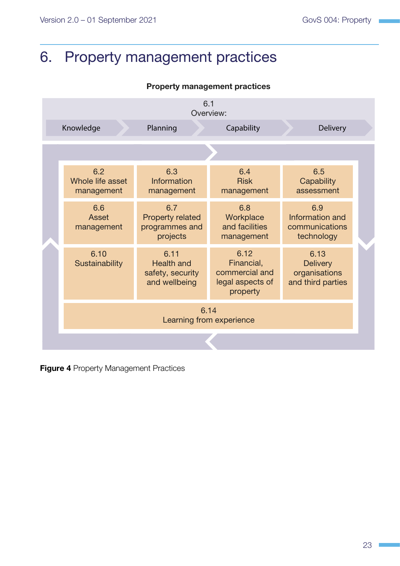## <span id="page-26-2"></span><span id="page-26-0"></span>6. Property management practices

#### Property management practices

|  |                                       | 6.1                                                            |                                                                      |                                                               |  |
|--|---------------------------------------|----------------------------------------------------------------|----------------------------------------------------------------------|---------------------------------------------------------------|--|
|  | Knowledge                             | Planning                                                       | Overview:<br>Capability                                              | <b>Delivery</b>                                               |  |
|  |                                       |                                                                |                                                                      |                                                               |  |
|  | 6.2<br>Whole life asset<br>management | 6.3<br>Information<br>management                               | 6.4<br><b>Risk</b><br>management                                     | 6.5<br>Capability<br>assessment                               |  |
|  | 6.6<br>Asset<br>management            | 6.7<br><b>Property related</b><br>programmes and<br>projects   | 6.8<br>Workplace<br>and facilities<br>management                     | 6.9<br>Information and<br>communications<br>technology        |  |
|  | 6.10<br>Sustainability                | 6.11<br><b>Health and</b><br>safety, security<br>and wellbeing | 6.12<br>Financial,<br>commercial and<br>legal aspects of<br>property | 6.13<br><b>Delivery</b><br>organisations<br>and third parties |  |
|  | 6.14<br>Learning from experience      |                                                                |                                                                      |                                                               |  |
|  |                                       |                                                                |                                                                      |                                                               |  |

<span id="page-26-1"></span>**Figure 4 Property Management Practices**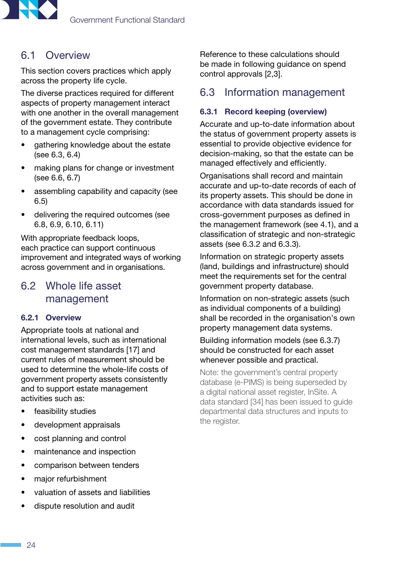<span id="page-27-0"></span>

## 6.1 Overview

This section covers practices which apply across the property life cycle.

The diverse practices required for different aspects of property management interact with one another in the overall management of the government estate. They contribute to a management cycle comprising:

- gathering knowledge about the estate [\(see 6.3](#page-27-1), [6.4](#page-30-2))
- making plans for change or investment (see [6.6](#page-31-2), [6.7](#page-31-1))
- assembling capability and capacity (see [6.5\)](#page-30-1)
- delivering the required outcomes (see [6.8,](#page-32-1) [6.9](#page-34-2), [6.10](#page-34-1), [6.11](#page-35-1))

With appropriate feedback loops, each practice can support continuous improvement and integrated ways of working across government and in organisations.

## <span id="page-27-2"></span>6.2 Whole life asset management

#### 6.2.1 Overview

Appropriate tools at national and international levels, such as international cost management standards [\[17\]](#page-41-1) and current rules of measurement should be used to determine the whole-life costs of government property assets consistently and to support estate management activities such as:

- feasibility studies
- development appraisals
- cost planning and control
- maintenance and inspection
- comparison between tenders
- major refurbishment
- valuation of assets and liabilities
- dispute resolution and audit

Reference to these calculations should be made in following guidance on spend control approvals [\[2,3](#page-39-1)].

## <span id="page-27-1"></span>6.3 Information management

#### 6.3.1 Record keeping (overview)

Accurate and up-to-date information about the status of government property assets is essential to provide objective evidence for decision-making, so that the estate can be managed effectively and efficiently.

Organisations shall record and maintain accurate and up-to-date records of each of its property assets. This should be done in accordance with data standards issued for cross-government purposes as defined in the management framework ([see 4.1\)](#page-9-1), and a classification of strategic and non-strategic assets ([see 6.3.2](#page-28-0) and [6.3.3](#page-28-1)).

Information on strategic property assets (land, buildings and infrastructure) should meet the requirements set for the central government property database.

Information on non-strategic assets (such as individual components of a building) shall be recorded in the organisation's own property management data systems.

Building information models [\(see 6.3.7](#page-30-3)) should be constructed for each asset whenever possible and practical.

Note: the government's central property database (e-PIMS) is being superseded by a digital national asset register, InSite. A data standard [[34](#page-40-0)] has been issued to guide departmental data structures and inputs to the register.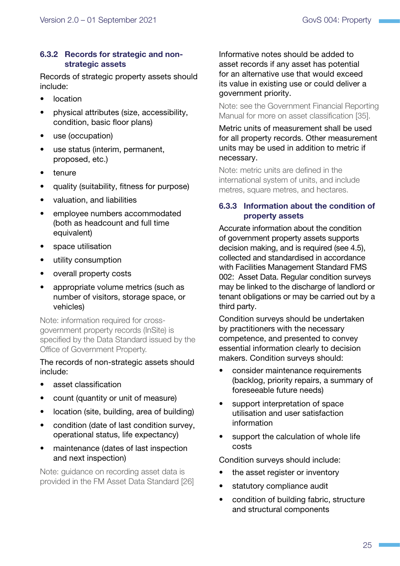#### <span id="page-28-0"></span>6.3.2 Records for strategic and nonstrategic assets

Records of strategic property assets should include:

- location
- physical attributes (size, accessibility, condition, basic floor plans)
- use (occupation)
- use status (interim, permanent, proposed, etc.)
- tenure
- quality (suitability, fitness for purpose)
- valuation, and liabilities
- employee numbers accommodated (both as headcount and full time equivalent)
- space utilisation
- utility consumption
- overall property costs
- appropriate volume metrics (such as number of visitors, storage space, or vehicles)

Note: information required for crossgovernment property records (InSite) is specified by the Data Standard issued by the Office of Government Property.

#### The records of non-strategic assets should include:

- asset classification
- count (quantity or unit of measure)
- location (site, building, area of building)
- condition (date of last condition survey, operational status, life expectancy)
- maintenance (dates of last inspection and next inspection)

Note: guidance on recording asset data is provided in the FM Asset Data Standard [\[26\]](#page-40-0) Informative notes should be added to asset records if any asset has potential for an alternative use that would exceed its value in existing use or could deliver a government priority.

Note: see the Government Financial Reporting Manual for more on asset classification [\[35\]](#page-40-0).

#### Metric units of measurement shall be used for all property records. Other measurement units may be used in addition to metric if necessary.

Note: metric units are defined in the international system of units, and include metres, square metres, and hectares.

#### <span id="page-28-1"></span>6.3.3 Information about the condition of property assets

Accurate information about the condition of government property assets supports decision making, and is required [\(see 4.5\)](#page-15-1), collected and standardised in accordance with Facilities Management Standard FMS 002: Asset Data. Regular condition surveys may be linked to the discharge of landlord or tenant obligations or may be carried out by a third party.

Condition surveys should be undertaken by practitioners with the necessary competence, and presented to convey essential information clearly to decision makers. Condition surveys should:

- consider maintenance requirements (backlog, priority repairs, a summary of foreseeable future needs)
- support interpretation of space utilisation and user satisfaction information
- support the calculation of whole life costs

Condition surveys should include:

- the asset register or inventory
- statutory compliance audit
- condition of building fabric, structure and structural components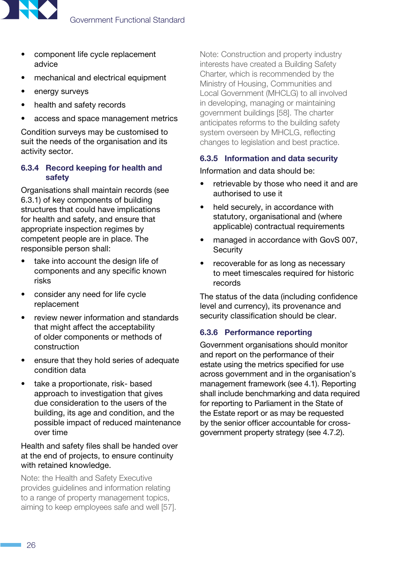

- component life cycle replacement advice
- mechanical and electrical equipment
- energy surveys
- health and safety records
- access and space management metrics

Condition surveys may be customised to suit the needs of the organisation and its activity sector.

#### <span id="page-29-0"></span>6.3.4 Record keeping for health and safety

Organisations shall maintain records ([see](#page-27-1)  [6.3.1\)](#page-27-1) of key components of building structures that could have implications for health and safety, and ensure that appropriate inspection regimes by competent people are in place. The responsible person shall:

- take into account the design life of components and any specific known risks
- consider any need for life cycle replacement
- review newer information and standards that might affect the acceptability of older components or methods of construction
- ensure that they hold series of adequate condition data
- take a proportionate, risk- based approach to investigation that gives due consideration to the users of the building, its age and condition, and the possible impact of reduced maintenance over time

#### Health and safety files shall be handed over at the end of projects, to ensure continuity with retained knowledge.

Note: the Health and Safety Executive provides guidelines and information relating to a range of property management topics, aiming to keep employees safe and well [\[57](#page-41-0)].

Note: Construction and property industry interests have created a Building Safety Charter, which is recommended by the Ministry of Housing, Communities and Local Government (MHCLG) to all involved in developing, managing or maintaining government buildings [[58](#page-42-0)]. The charter anticipates reforms to the building safety system overseen by MHCLG, reflecting changes to legislation and best practice.

#### 6.3.5 Information and data security

#### Information and data should be:

- retrievable by those who need it and are authorised to use it
- held securely, in accordance with statutory, organisational and (where applicable) contractual requirements
- managed in accordance with GovS 007, **Security**
- recoverable for as long as necessary to meet timescales required for historic records

The status of the data (including confidence level and currency), its provenance and security classification should be clear.

#### 6.3.6 Performance reporting

Government organisations should monitor and report on the performance of their estate using the metrics specified for use across government and in the organisation's management framework [\(see 4.1](#page-9-1)). Reporting shall include benchmarking and data required for reporting to Parliament in the State of the Estate report or as may be requested by the senior officer accountable for crossgovernment property strategy [\(see 4.7.2\)](#page-18-0).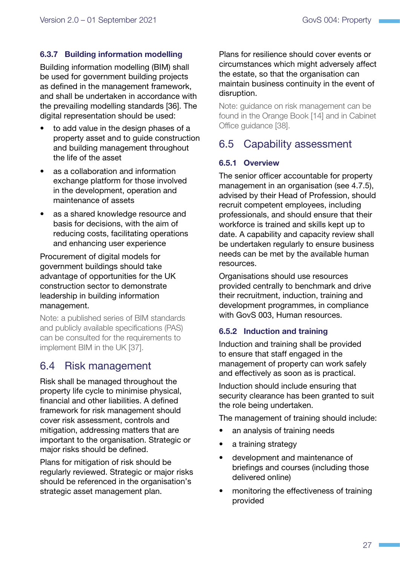#### <span id="page-30-3"></span><span id="page-30-0"></span>6.3.7 Building information modelling

Building information modelling (BIM) shall be used for government building projects as defined in the management framework, and shall be undertaken in accordance with the prevailing modelling standards [\[36\]](#page-41-1). The digital representation should be used:

- to add value in the design phases of a property asset and to guide construction and building management throughout the life of the asset
- as a collaboration and information exchange platform for those involved in the development, operation and maintenance of assets
- as a shared knowledge resource and basis for decisions, with the aim of reducing costs, facilitating operations and enhancing user experience

Procurement of digital models for government buildings should take advantage of opportunities for the UK construction sector to demonstrate leadership in building information management.

Note: a published series of BIM standards and publicly available specifications (PAS) can be consulted for the requirements to implement BIM in the UK [\[37\]](#page-41-1).

## <span id="page-30-2"></span>6.4 Risk management

Risk shall be managed throughout the property life cycle to minimise physical, financial and other liabilities. A defined framework for risk management should cover risk assessment, controls and mitigation, addressing matters that are important to the organisation. Strategic or major risks should be defined.

Plans for mitigation of risk should be regularly reviewed. Strategic or major risks should be referenced in the organisation's strategic asset management plan.

Plans for resilience should cover events or circumstances which might adversely affect the estate, so that the organisation can maintain business continuity in the event of disruption.

Note: guidance on risk management can be found in the Orange Book [[14\]](#page-39-1) and in Cabinet Office guidance [\[38\]](#page-40-0).

## <span id="page-30-1"></span>6.5 Capability assessment

#### 6.5.1 Overview

The senior officer accountable for property management in an organisation [\(see 4.7.5](#page-19-0)), advised by their Head of Profession, should recruit competent employees, including professionals, and should ensure that their workforce is trained and skills kept up to date. A capability and capacity review shall be undertaken regularly to ensure business needs can be met by the available human resources.

Organisations should use resources provided centrally to benchmark and drive their recruitment, induction, training and development programmes, in compliance with GovS 003, Human resources.

#### 6.5.2 Induction and training

Induction and training shall be provided to ensure that staff engaged in the management of property can work safely and effectively as soon as is practical.

Induction should include ensuring that security clearance has been granted to suit the role being undertaken.

The management of training should include:

- an analysis of training needs
- a training strategy
- development and maintenance of briefings and courses (including those delivered online)
- monitoring the effectiveness of training provided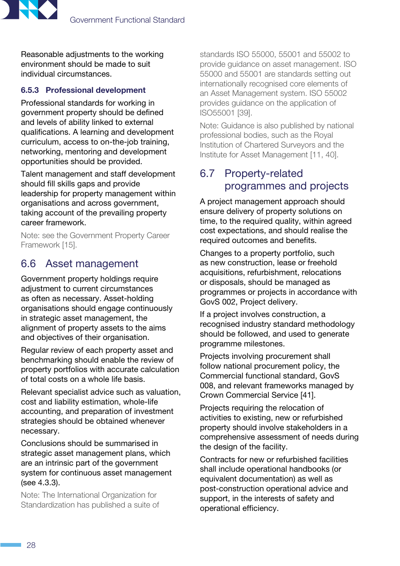<span id="page-31-0"></span>

Reasonable adjustments to the working environment should be made to suit individual circumstances.

#### 6.5.3 Professional development

Professional standards for working in government property should be defined and levels of ability linked to external qualifications. A learning and development curriculum, access to on-the-job training, networking, mentoring and development opportunities should be provided.

Talent management and staff development should fill skills gaps and provide leadership for property management within organisations and across government, taking account of the prevailing property career framework.

Note: see the Government Property Career Framework [\[15\]](#page-39-1).

## <span id="page-31-2"></span>6.6 Asset management

Government property holdings require adiustment to current circumstances as often as necessary. Asset-holding organisations should engage continuously in strategic asset management, the alignment of property assets to the aims and objectives of their organisation.

Regular review of each property asset and benchmarking should enable the review of property portfolios with accurate calculation of total costs on a whole life basis.

Relevant specialist advice such as valuation, cost and liability estimation, whole-life accounting, and preparation of investment strategies should be obtained whenever necessary.

Conclusions should be summarised in strategic asset management plans, which are an intrinsic part of the government system for continuous asset management [\(see 4.3.3](#page-13-2)).

Note: The International Organization for Standardization has published a suite of standards ISO 55000, 55001 and 55002 to provide guidance on asset management. ISO 55000 and 55001 are standards setting out internationally recognised core elements of an Asset Management system. ISO 55002 provides guidance on the application of ISO55001 [\[39\]](#page-41-1).

Note: Guidance is also published by national professional bodies, such as the Royal Institution of Chartered Surveyors and the Institute for Asset Management [[11](#page-41-1), [40](#page-42-0)].

## <span id="page-31-1"></span>6.7 Property-related programmes and projects

A project management approach should ensure delivery of property solutions on time, to the required quality, within agreed cost expectations, and should realise the required outcomes and benefits.

Changes to a property portfolio, such as new construction, lease or freehold acquisitions, refurbishment, relocations or disposals, should be managed as programmes or projects in accordance with GovS 002, Project delivery.

If a project involves construction, a recognised industry standard methodology should be followed, and used to generate programme milestones.

Projects involving procurement shall follow national procurement policy, the Commercial functional standard, GovS 008, and relevant frameworks managed by Crown Commercial Service [[41\]](#page-40-0).

Projects requiring the relocation of activities to existing, new or refurbished property should involve stakeholders in a comprehensive assessment of needs during the design of the facility.

Contracts for new or refurbished facilities shall include operational handbooks (or equivalent documentation) as well as post-construction operational advice and support, in the interests of safety and operational efficiency.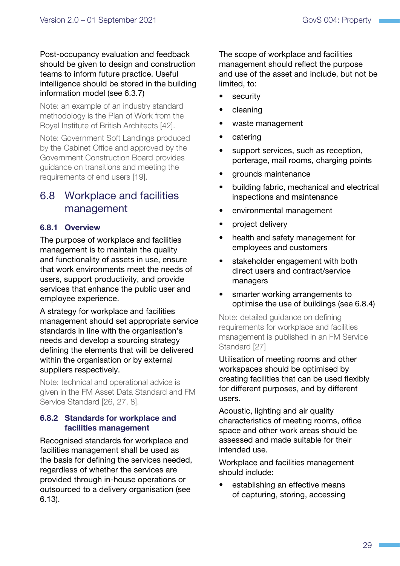<span id="page-32-0"></span>Post-occupancy evaluation and feedback should be given to design and construction teams to inform future practice. Useful intelligence should be stored in the building information model [\(see 6.3.7](#page-30-3))

Note: an example of an industry standard methodology is the Plan of Work from the Royal Institute of British Architects [\[42\]](#page-42-0).

Note: Government Soft Landings produced by the Cabinet Office and approved by the Government Construction Board provides guidance on transitions and meeting the requirements of end users [\[19\]](#page-41-1).

## <span id="page-32-1"></span>6.8 Workplace and facilities management

#### 6.8.1 Overview

The purpose of workplace and facilities management is to maintain the quality and functionality of assets in use, ensure that work environments meet the needs of users, support productivity, and provide services that enhance the public user and employee experience.

A strategy for workplace and facilities management should set appropriate service standards in line with the organisation's needs and develop a sourcing strategy defining the elements that will be delivered within the organisation or by external suppliers respectively.

Note: technical and operational advice is given in the FM Asset Data Standard and FM Service Standard [\[26, 27,](#page-40-0) [8\]](#page-39-1).

#### 6.8.2 Standards for workplace and facilities management

Recognised standards for workplace and facilities management shall be used as the basis for defining the services needed, regardless of whether the services are provided through in-house operations or outsourced to a delivery organisation ([see](#page-37-1)  [6.13\)](#page-37-1).

The scope of workplace and facilities management should reflect the purpose and use of the asset and include, but not be limited, to:

- security
- cleaning
- waste management
- catering
- support services, such as reception, porterage, mail rooms, charging points
- grounds maintenance
- building fabric, mechanical and electrical inspections and maintenance
- environmental management
- project delivery
- health and safety management for employees and customers
- stakeholder engagement with both direct users and contract/service managers
- smarter working arrangements to optimise the use of buildings [\(see 6.8.4](#page-33-0))

Note: detailed guidance on defining requirements for workplace and facilities management is published in an FM Service Standard [[27\]](#page-40-0)

Utilisation of meeting rooms and other workspaces should be optimised by creating facilities that can be used flexibly for different purposes, and by different users.

Acoustic, lighting and air quality characteristics of meeting rooms, office space and other work areas should be assessed and made suitable for their intended use.

Workplace and facilities management should include:

establishing an effective means of capturing, storing, accessing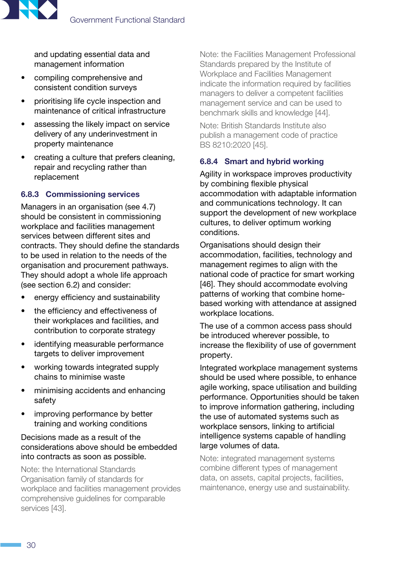

and updating essential data and management information

- compiling comprehensive and consistent condition surveys
- prioritising life cycle inspection and maintenance of critical infrastructure
- assessing the likely impact on service delivery of any underinvestment in property maintenance
- creating a culture that prefers cleaning, repair and recycling rather than replacement

#### 6.8.3 Commissioning services

Managers in an organisation [\(see 4.7](#page-17-3)) should be consistent in commissioning workplace and facilities management services between different sites and contracts. They should define the standards to be used in relation to the needs of the organisation and procurement pathways. They should adopt a whole life approach [\(see section 6.2](#page-27-2)) and consider:

- energy efficiency and sustainability
- the efficiency and effectiveness of their workplaces and facilities, and contribution to corporate strategy
- identifying measurable performance targets to deliver improvement
- working towards integrated supply chains to minimise waste
- minimising accidents and enhancing safety
- improving performance by better training and working conditions

#### Decisions made as a result of the considerations above should be embedded into contracts as soon as possible.

Note: the International Standards Organisation family of standards for workplace and facilities management provides comprehensive guidelines for comparable services [\[43\]](#page-42-0).

Note: the Facilities Management Professional Standards prepared by the Institute of Workplace and Facilities Management indicate the information required by facilities managers to deliver a competent facilities management service and can be used to benchmark skills and knowledge [\[44](#page-42-0)].

Note: British Standards Institute also publish a management code of practice BS 8210:2020 [\[45\]](#page-42-0).

#### <span id="page-33-0"></span>6.8.4 Smart and hybrid working

Agility in workspace improves productivity by combining flexible physical accommodation with adaptable information and communications technology. It can support the development of new workplace cultures, to deliver optimum working conditions.

Organisations should design their accommodation, facilities, technology and management regimes to align with the national code of practice for smart working [[46](#page-41-1)]. They should accommodate evolving patterns of working that combine homebased working with attendance at assigned workplace locations.

The use of a common access pass should be introduced wherever possible, to increase the flexibility of use of government property.

Integrated workplace management systems should be used where possible, to enhance agile working, space utilisation and building performance. Opportunities should be taken to improve information gathering, including the use of automated systems such as workplace sensors, linking to artificial intelligence systems capable of handling large volumes of data.

Note: integrated management systems combine different types of management data, on assets, capital projects, facilities, maintenance, energy use and sustainability.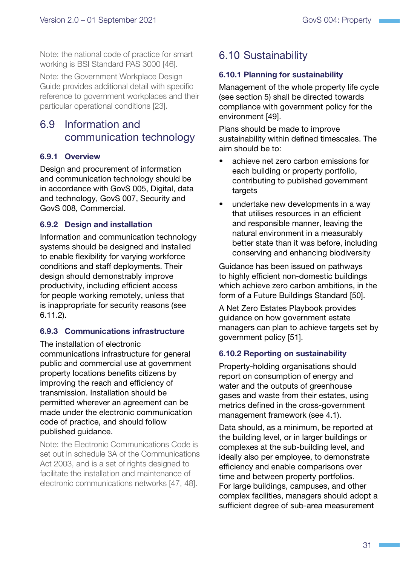<span id="page-34-0"></span>Note: the national code of practice for smart working is BSI Standard PAS 3000 [\[46\]](#page-41-1).

Note: the Government Workplace Design Guide provides additional detail with specific reference to government workplaces and their particular operational conditions [\[23\]](#page-39-1).

## <span id="page-34-2"></span>6.9 Information and communication technology

#### 6.9.1 Overview

Design and procurement of information and communication technology should be in accordance with GovS 005, Digital, data and technology, GovS 007, Security and GovS 008, Commercial.

#### 6.9.2 Design and installation

Information and communication technology systems should be designed and installed to enable flexibility for varying workforce conditions and staff deployments. Their design should demonstrably improve productivity, including efficient access for people working remotely, unless that is inappropriate for security reasons [\(see](#page-35-2)  [6.11.2\)](#page-35-2).

#### 6.9.3 Communications infrastructure

The installation of electronic communications infrastructure for general public and commercial use at government property locations benefits citizens by improving the reach and efficiency of transmission. Installation should be permitted wherever an agreement can be made under the electronic communication code of practice, and should follow published guidance.

Note: the Electronic Communications Code is set out in schedule 3A of the Communications Act 2003, and is a set of rights designed to facilitate the installation and maintenance of electronic communications networks [\[47, 48\]](#page-40-0).

## <span id="page-34-1"></span>6.10 Sustainability

#### 6.10.1 Planning for sustainability

Management of the whole property life cycle [\(see section 5](#page-21-1)) shall be directed towards compliance with government policy for the environment [[49](#page-40-0)].

Plans should be made to improve sustainability within defined timescales. The aim should be to:

- achieve net zero carbon emissions for each building or property portfolio, contributing to published government targets
- undertake new developments in a way that utilises resources in an efficient and responsible manner, leaving the natural environment in a measurably better state than it was before, including conserving and enhancing biodiversity

Guidance has been issued on pathways to highly efficient non-domestic buildings which achieve zero carbon ambitions, in the form of a Future Buildings Standard [\[50](#page-40-0)].

A Net Zero Estates Playbook provides guidance on how government estate managers can plan to achieve targets set by government policy [\[51\]](#page-40-0).

#### 6.10.2 Reporting on sustainability

Property-holding organisations should report on consumption of energy and water and the outputs of greenhouse gases and waste from their estates, using metrics defined in the cross-government management framework ([see 4.1\)](#page-9-1).

Data should, as a minimum, be reported at the building level, or in larger buildings or complexes at the sub-building level, and ideally also per employee, to demonstrate efficiency and enable comparisons over time and between property portfolios. For large buildings, campuses, and other complex facilities, managers should adopt a sufficient degree of sub-area measurement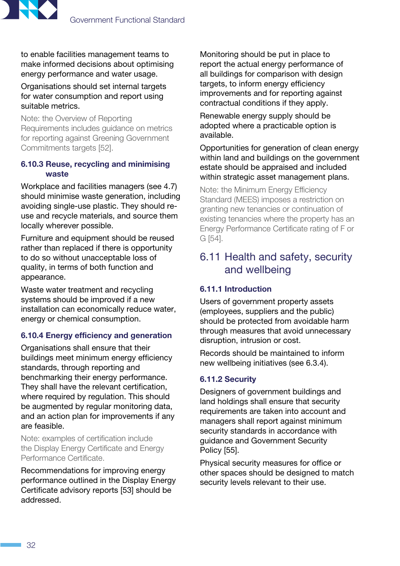<span id="page-35-0"></span>

to enable facilities management teams to make informed decisions about optimising energy performance and water usage.

Organisations should set internal targets for water consumption and report using suitable metrics.

Note: the Overview of Reporting Requirements includes guidance on metrics for reporting against Greening Government Commitments targets [\[52\]](#page-40-0).

#### 6.10.3 Reuse, recycling and minimising waste

Workplace and facilities managers ([see 4.7\)](#page-17-3) should minimise waste generation, including avoiding single-use plastic. They should reuse and recycle materials, and source them locally wherever possible.

Furniture and equipment should be reused rather than replaced if there is opportunity to do so without unacceptable loss of quality, in terms of both function and appearance.

Waste water treatment and recycling systems should be improved if a new installation can economically reduce water, energy or chemical consumption.

#### 6.10.4 Energy efficiency and generation

Organisations shall ensure that their buildings meet minimum energy efficiency standards, through reporting and benchmarking their energy performance. They shall have the relevant certification, where required by regulation. This should be augmented by regular monitoring data, and an action plan for improvements if any are feasible.

Note: examples of certification include the Display Energy Certificate and Energy Performance Certificate.

Recommendations for improving energy performance outlined in the Display Energy Certificate advisory reports [\[53\]](#page-40-0) should be addressed.

Monitoring should be put in place to report the actual energy performance of all buildings for comparison with design targets, to inform energy efficiency improvements and for reporting against contractual conditions if they apply.

Renewable energy supply should be adopted where a practicable option is available.

Opportunities for generation of clean energy within land and buildings on the government estate should be appraised and included within strategic asset management plans.

Note: the Minimum Energy Efficiency Standard (MEES) imposes a restriction on granting new tenancies or continuation of existing tenancies where the property has an Energy Performance Certificate rating of F or G [[54](#page-40-0)].

## <span id="page-35-1"></span>6.11 Health and safety, security and wellbeing

#### 6.11.1 Introduction

Users of government property assets (employees, suppliers and the public) should be protected from avoidable harm through measures that avoid unnecessary disruption, intrusion or cost.

Records should be maintained to inform new wellbeing initiatives [\(see 6.3.4](#page-29-0)).

#### <span id="page-35-2"></span>6.11.2 Security

Designers of government buildings and land holdings shall ensure that security requirements are taken into account and managers shall report against minimum security standards in accordance with guidance and Government Security Policy [[55\]](#page-41-0).

Physical security measures for office or other spaces should be designed to match security levels relevant to their use.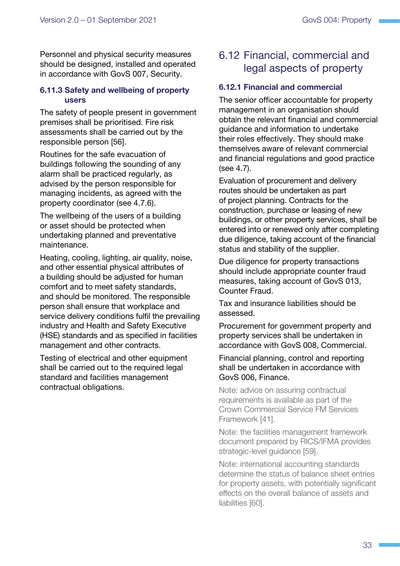<span id="page-36-0"></span>Personnel and physical security measures should be designed, installed and operated in accordance with GovS 007, Security.

#### 6.11.3 Safety and wellbeing of property users

The safety of people present in government premises shall be prioritised. Fire risk assessments shall be carried out by the responsible person [\[56\]](#page-41-0).

Routines for the safe evacuation of buildings following the sounding of any alarm shall be practiced regularly, as advised by the person responsible for managing incidents, as agreed with the property coordinator ([see 4.7.6\)](#page-19-1).

The wellbeing of the users of a building or asset should be protected when undertaking planned and preventative maintenance.

Heating, cooling, lighting, air quality, noise, and other essential physical attributes of a building should be adjusted for human comfort and to meet safety standards, and should be monitored. The responsible person shall ensure that workplace and service delivery conditions fulfil the prevailing industry and Health and Safety Executive (HSE) standards and as specified in facilities management and other contracts.

Testing of electrical and other equipment shall be carried out to the required legal standard and facilities management contractual obligations.

## <span id="page-36-1"></span>6.12 Financial, commercial and legal aspects of property

#### 6.12.1 Financial and commercial

The senior officer accountable for property management in an organisation should obtain the relevant financial and commercial guidance and information to undertake their roles effectively. They should make themselves aware of relevant commercial and financial regulations and good practice [\(see 4.7\)](#page-17-3).

Evaluation of procurement and delivery routes should be undertaken as part of project planning. Contracts for the construction, purchase or leasing of new buildings, or other property services, shall be entered into or renewed only after completing due diligence, taking account of the financial status and stability of the supplier.

Due diligence for property transactions should include appropriate counter fraud measures, taking account of GovS 013, Counter Fraud.

Tax and insurance liabilities should be assessed.

Procurement for government property and property services shall be undertaken in accordance with GovS 008, Commercial.

Financial planning, control and reporting shall be undertaken in accordance with GovS 006, Finance.

Note: advice on assuring contractual requirements is available as part of the Crown Commercial Service FM Services Framework [\[41\]](#page-40-0).

Note: the facilities management framework document prepared by RICS/IFMA provides strategic-level guidance [\[59](#page-41-1)].

Note: international accounting standards determine the status of balance sheet entries for property assets, with potentially significant effects on the overall balance of assets and liabilities [\[60\]](#page-42-0).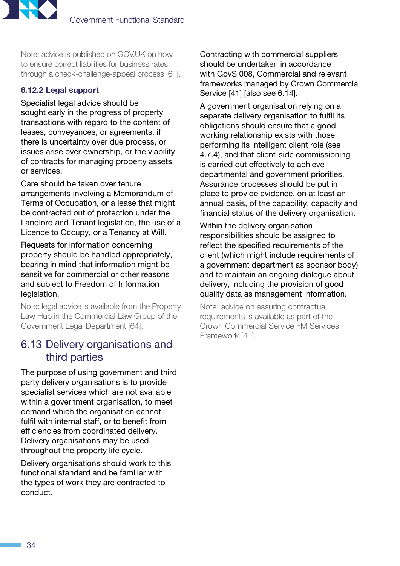<span id="page-37-0"></span>

Note: advice is published on GOV.UK on how to ensure correct liabilities for business rates through a check-challenge-appeal process [\[61](#page-41-0)].

#### 6.12.2 Legal support

Specialist legal advice should be sought early in the progress of property transactions with regard to the content of leases, conveyances, or agreements, if there is uncertainty over due process, or issues arise over ownership, or the viability of contracts for managing property assets or services.

Care should be taken over tenure arrangements involving a Memorandum of Terms of Occupation, or a lease that might be contracted out of protection under the Landlord and Tenant legislation, the use of a Licence to Occupy, or a Tenancy at Will.

Requests for information concerning property should be handled appropriately, bearing in mind that information might be sensitive for commercial or other reasons and subject to Freedom of Information legislation.

Note: legal advice is available from the Property Law Hub in the Commercial Law Group of the Government Legal Department [[64\]](#page-41-0).

## <span id="page-37-1"></span>6.13 Delivery organisations and third parties

The purpose of using government and third party delivery organisations is to provide specialist services which are not available within a government organisation, to meet demand which the organisation cannot fulfil with internal staff, or to benefit from efficiencies from coordinated delivery. Delivery organisations may be used throughout the property life cycle.

Delivery organisations should work to this functional standard and be familiar with the types of work they are contracted to conduct.

Contracting with commercial suppliers should be undertaken in accordance with GovS 008, Commercial and relevant frameworks managed by Crown Commercial Service [[41\]](#page-40-0) [also [see 6.14](#page-38-1)].

A government organisation relying on a separate delivery organisation to fulfil its obligations should ensure that a good working relationship exists with those performing its intelligent client role [\(see](#page-18-1)  [4.7.4](#page-18-1)), and that client-side commissioning is carried out effectively to achieve departmental and government priorities. Assurance processes should be put in place to provide evidence, on at least an annual basis, of the capability, capacity and financial status of the delivery organisation.

Within the delivery organisation responsibilities should be assigned to reflect the specified requirements of the client (which might include requirements of a government department as sponsor body) and to maintain an ongoing dialogue about delivery, including the provision of good quality data as management information.

Note: advice on assuring contractual requirements is available as part of the Crown Commercial Service FM Services Framework [[41](#page-40-0)].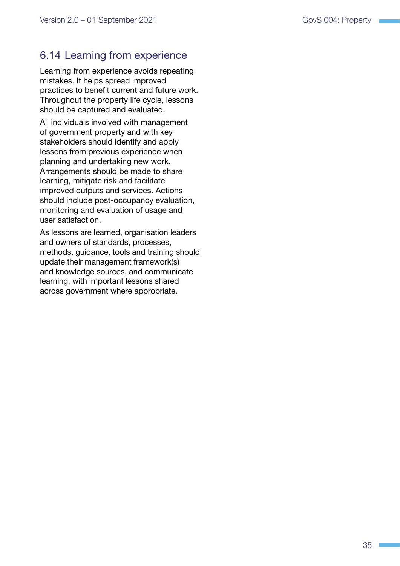## <span id="page-38-1"></span><span id="page-38-0"></span>6.14 Learning from experience

Learning from experience avoids repeating mistakes. It helps spread improved practices to benefit current and future work. Throughout the property life cycle, lessons should be captured and evaluated.

All individuals involved with management of government property and with key stakeholders should identify and apply lessons from previous experience when planning and undertaking new work. Arrangements should be made to share learning, mitigate risk and facilitate improved outputs and services. Actions should include post-occupancy evaluation, monitoring and evaluation of usage and user satisfaction.

As lessons are learned, organisation leaders and owners of standards, processes, methods, guidance, tools and training should update their management framework(s) and knowledge sources, and communicate learning, with important lessons shared across government where appropriate.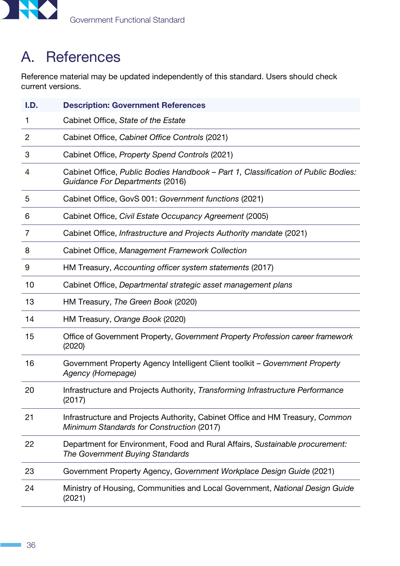<span id="page-39-0"></span>

## <span id="page-39-1"></span>A. References

Reference material may be updated independently of this standard. Users should check current versions.

| I.D. | <b>Description: Government References</b>                                                                                  |
|------|----------------------------------------------------------------------------------------------------------------------------|
| ı    | Cabinet Office, State of the Estate                                                                                        |
| 2    | Cabinet Office, Cabinet Office Controls (2021)                                                                             |
| 3    | Cabinet Office, Property Spend Controls (2021)                                                                             |
| 4    | Cabinet Office, Public Bodies Handbook - Part 1, Classification of Public Bodies:<br>Guidance For Departments (2016)       |
| 5    | Cabinet Office, GovS 001: Government functions (2021)                                                                      |
| 6    | Cabinet Office, Civil Estate Occupancy Agreement (2005)                                                                    |
| 7    | Cabinet Office, Infrastructure and Projects Authority mandate (2021)                                                       |
| 8    | Cabinet Office, Management Framework Collection                                                                            |
| 9    | HM Treasury, Accounting officer system statements (2017)                                                                   |
| 10   | Cabinet Office, Departmental strategic asset management plans                                                              |
| 13   | HM Treasury, The Green Book (2020)                                                                                         |
| 14   | HM Treasury, Orange Book (2020)                                                                                            |
| 15   | Office of Government Property, Government Property Profession career framework<br>(2020)                                   |
| 16   | Government Property Agency Intelligent Client toolkit - Government Property<br>Agency (Homepage)                           |
| 20   | Infrastructure and Projects Authority, Transforming Infrastructure Performance<br>(2017)                                   |
| 21   | Infrastructure and Projects Authority, Cabinet Office and HM Treasury, Common<br>Minimum Standards for Construction (2017) |
| 22   | Department for Environment, Food and Rural Affairs, Sustainable procurement:<br>The Government Buying Standards            |
| 23   | Government Property Agency, Government Workplace Design Guide (2021)                                                       |
| 24   | Ministry of Housing, Communities and Local Government, National Design Guide<br>(2021)                                     |

 $\mathcal{L}^{\mathcal{L}}$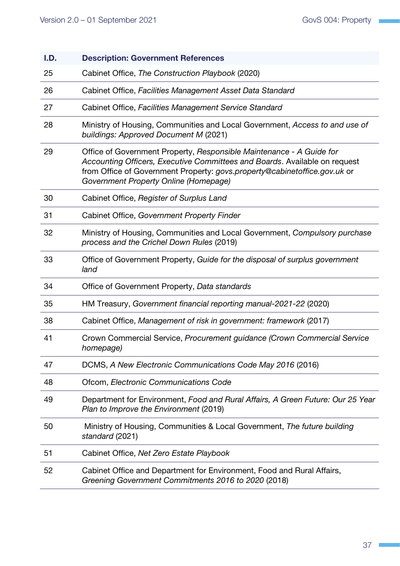<span id="page-40-0"></span>

| I.D. | <b>Description: Government References</b>                                                                                                                                                                                                                                |
|------|--------------------------------------------------------------------------------------------------------------------------------------------------------------------------------------------------------------------------------------------------------------------------|
| 25   | Cabinet Office, The Construction Playbook (2020)                                                                                                                                                                                                                         |
| 26   | Cabinet Office, Facilities Management Asset Data Standard                                                                                                                                                                                                                |
| 27   | Cabinet Office, Facilities Management Service Standard                                                                                                                                                                                                                   |
| 28   | Ministry of Housing, Communities and Local Government, Access to and use of<br>buildings: Approved Document M (2021)                                                                                                                                                     |
| 29   | Office of Government Property, Responsible Maintenance - A Guide for<br>Accounting Officers, Executive Committees and Boards. Available on request<br>from Office of Government Property: govs.property@cabinetoffice.gov.uk or<br>Government Property Online (Homepage) |
| 30   | Cabinet Office, Register of Surplus Land                                                                                                                                                                                                                                 |
| 31   | Cabinet Office, Government Property Finder                                                                                                                                                                                                                               |
| 32   | Ministry of Housing, Communities and Local Government, Compulsory purchase<br>process and the Crichel Down Rules (2019)                                                                                                                                                  |
| 33   | Office of Government Property, Guide for the disposal of surplus government<br>land                                                                                                                                                                                      |
| 34   | Office of Government Property, Data standards                                                                                                                                                                                                                            |
| 35   | HM Treasury, Government financial reporting manual-2021-22 (2020)                                                                                                                                                                                                        |
| 38   | Cabinet Office, Management of risk in government: framework (2017)                                                                                                                                                                                                       |
| 41   | Crown Commercial Service, Procurement guidance (Crown Commercial Service<br>homepage)                                                                                                                                                                                    |
| 47   | DCMS, A New Electronic Communications Code May 2016 (2016)                                                                                                                                                                                                               |
| 48   | Ofcom, Electronic Communications Code                                                                                                                                                                                                                                    |
| 49   | Department for Environment, Food and Rural Affairs, A Green Future: Our 25 Year<br>Plan to Improve the Environment (2019)                                                                                                                                                |
| 50   | Ministry of Housing, Communities & Local Government, The future building<br>standard (2021)                                                                                                                                                                              |
| 51   | Cabinet Office, Net Zero Estate Playbook                                                                                                                                                                                                                                 |
| 52   | Cabinet Office and Department for Environment, Food and Rural Affairs,<br>Greening Government Commitments 2016 to 2020 (2018)                                                                                                                                            |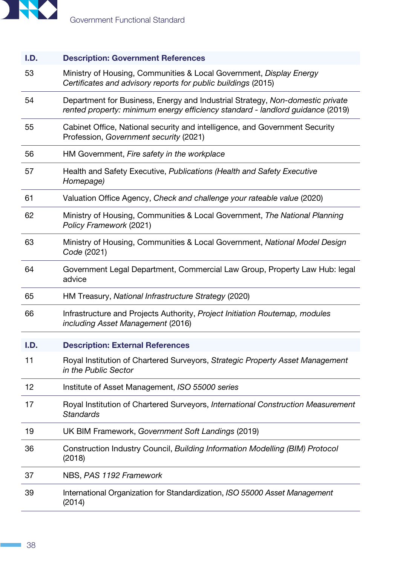

#### I.D. Description: Government References

- <span id="page-41-0"></span>53 Ministry of Housing, Communities & Local Government, *[Display Energy](https://www.gov.uk/government/publications/display-energy-certificates-and-advisory-reports-for-public-buildings)  [Certificates and advisory reports for public buildings](https://www.gov.uk/government/publications/display-energy-certificates-and-advisory-reports-for-public-buildings)* (2015)
- 54 Department for Business, Energy and Industrial Strategy, *[Non-domestic private](https://www.gov.uk/government/publications/non-domestic-private-rented-property-minimum-energy-efficiency-standard-landlord-guidance)  [rented property: minimum energy efficiency standard - landlord guidance](https://www.gov.uk/government/publications/non-domestic-private-rented-property-minimum-energy-efficiency-standard-landlord-guidance)* (2019)
- 55 Cabinet Office, National security and intelligence, and Government Security Profession, *[Government security](https://www.gov.uk/government/collections/government-security)* (2021)
- 56 HM Government, *[Fire safety in the workplace](https://www.gov.uk/workplace-fire-safety-your-responsibilities/fire-risk-assessments)*
- 57 Health and Safety Executive, *[Publications \(Health and Safety Executive](https://www.hse.gov.uk/)  [Homepage\)](https://www.hse.gov.uk/)*
- 61 Valuation Office Agency, *[Check and challenge your rateable value](https://www.gov.uk/guidance/how-to-check-your-rateable-value-is-correct)* (2020)
- 62 Ministry of Housing, Communities & Local Government, *[The National Planning](https://assets.publishing.service.gov.uk/government/uploads/system/uploads/attachment_data/file/810197/NPPF_Feb_2019_revised.pdf)  [Policy Framework](https://assets.publishing.service.gov.uk/government/uploads/system/uploads/attachment_data/file/810197/NPPF_Feb_2019_revised.pdf)* (2021)
- 63 Ministry of Housing, Communities & Local Government, *[National Model Design](https://assets.publishing.service.gov.uk/government/uploads/system/uploads/attachment_data/file/957205/National_Model_Design_Code.pdf)  [Code](https://assets.publishing.service.gov.uk/government/uploads/system/uploads/attachment_data/file/957205/National_Model_Design_Code.pdf)* (2021)
- 64 Government Legal Department, Commercial Law Group, [Property Law Hub: legal](https://www.gov.uk/government/organisations/government-legal-department)  [advice](https://www.gov.uk/government/organisations/government-legal-department)
- 65 HM Treasury, *[National Infrastructure Strategy](https://www.gov.uk/government/publications/national-infrastructure-strategy)* (2020)
- 66 Infrastructure and Projects Authority, *[Project Initiation Routemap, modules](https://assets.publishing.service.gov.uk/government/uploads/system/uploads/attachment_data/file/528951/ipa_routemap_asset_management_module.pdf)  [including Asset Management](https://assets.publishing.service.gov.uk/government/uploads/system/uploads/attachment_data/file/528951/ipa_routemap_asset_management_module.pdf)* (2016)

#### I.D. Description: External References

- <span id="page-41-1"></span>11 Royal Institution of Chartered Surveyors, *[Strategic Property Asset Management](http://rics.org/globalassets/rics-website/media/upholding-professional-standards/sector-standards/real-estate/rics-public-sector-property-asset-management-guidelines-2nd-edition.pdf)  [in the Public Sector](http://rics.org/globalassets/rics-website/media/upholding-professional-standards/sector-standards/real-estate/rics-public-sector-property-asset-management-guidelines-2nd-edition.pdf)*
- 12 Institute of Asset Management, *[ISO 55000 series](https://www.theiam.org/iso-55000-series-hard-copy)*
- 17 Royal Institution of Chartered Surveyors, *[International Construction Measurement](https://www.rics.org/en-hk/upholding-professional-standards/sector-standards/construction/icms-international-construction-measurement-standards/)  [Standards](https://www.rics.org/en-hk/upholding-professional-standards/sector-standards/construction/icms-international-construction-measurement-standards/)*
- 19 UK BIM Framework, *[Government Soft Landings](https://ukbimframework.org/wp-content/uploads/2019/11/GSL_Report_PrintVersion.pdf)* (2019)
- 36 Construction Industry Council, *[Building Information Modelling \(BIM\) Protocol](http://cic.org.uk/admin/resources/bim-protocol-2nd-edition-2.pdf)* (2018)
- 37 NBS, *[PAS 1192 Framework](https://www.thenbs.com/knowledge/what-is-the-pas-1192-framework)*
- 39 International Organization for Standardization, *[ISO 55000 Asset Management](https://www.iso.org/standard/55088.html)* (2014)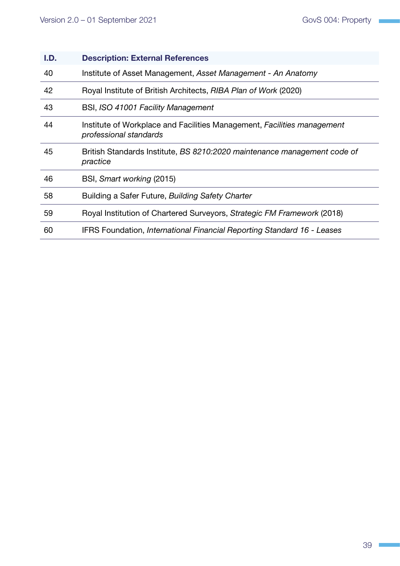<span id="page-42-0"></span>

| I.D. | <b>Description: External References</b>                                                           |
|------|---------------------------------------------------------------------------------------------------|
| 40   | Institute of Asset Management, Asset Management - An Anatomy                                      |
| 42   | Royal Institute of British Architects, RIBA Plan of Work (2020)                                   |
| 43   | BSI, ISO 41001 Facility Management                                                                |
| 44   | Institute of Workplace and Facilities Management, Facilities management<br>professional standards |
| 45   | British Standards Institute, BS 8210:2020 maintenance management code of<br>practice              |
| 46   | BSI, Smart working (2015)                                                                         |
| 58   | Building a Safer Future, Building Safety Charter                                                  |
| 59   | Royal Institution of Chartered Surveyors, Strategic FM Framework (2018)                           |
| 60   | IFRS Foundation, International Financial Reporting Standard 16 - Leases                           |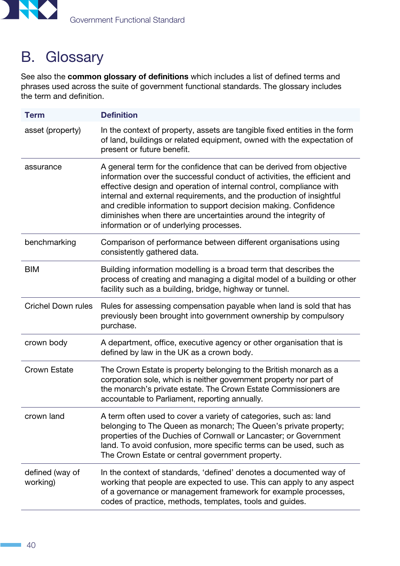<span id="page-43-0"></span>

## B. Glossary

See also the [common glossary of definitions](https://www.gov.uk/government/publications/functional-standards-common-glossary) which includes a list of defined terms and phrases used across the suite of government functional standards. The glossary includes the term and definition.

| <b>Term</b>                 | <b>Definition</b>                                                                                                                                                                                                                                                                                                                                                                                                                                                                |
|-----------------------------|----------------------------------------------------------------------------------------------------------------------------------------------------------------------------------------------------------------------------------------------------------------------------------------------------------------------------------------------------------------------------------------------------------------------------------------------------------------------------------|
| asset (property)            | In the context of property, assets are tangible fixed entities in the form<br>of land, buildings or related equipment, owned with the expectation of<br>present or future benefit.                                                                                                                                                                                                                                                                                               |
| assurance                   | A general term for the confidence that can be derived from objective<br>information over the successful conduct of activities, the efficient and<br>effective design and operation of internal control, compliance with<br>internal and external requirements, and the production of insightful<br>and credible information to support decision making. Confidence<br>diminishes when there are uncertainties around the integrity of<br>information or of underlying processes. |
| benchmarking                | Comparison of performance between different organisations using<br>consistently gathered data.                                                                                                                                                                                                                                                                                                                                                                                   |
| <b>BIM</b>                  | Building information modelling is a broad term that describes the<br>process of creating and managing a digital model of a building or other<br>facility such as a building, bridge, highway or tunnel.                                                                                                                                                                                                                                                                          |
| <b>Crichel Down rules</b>   | Rules for assessing compensation payable when land is sold that has<br>previously been brought into government ownership by compulsory<br>purchase.                                                                                                                                                                                                                                                                                                                              |
| crown body                  | A department, office, executive agency or other organisation that is<br>defined by law in the UK as a crown body.                                                                                                                                                                                                                                                                                                                                                                |
| <b>Crown Estate</b>         | The Crown Estate is property belonging to the British monarch as a<br>corporation sole, which is neither government property nor part of<br>the monarch's private estate. The Crown Estate Commissioners are<br>accountable to Parliament, reporting annually.                                                                                                                                                                                                                   |
| crown land                  | A term often used to cover a variety of categories, such as: land<br>belonging to The Queen as monarch; The Queen's private property;<br>properties of the Duchies of Cornwall or Lancaster; or Government<br>land. To avoid confusion, more specific terms can be used, such as<br>The Crown Estate or central government property.                                                                                                                                             |
| defined (way of<br>working) | In the context of standards, 'defined' denotes a documented way of<br>working that people are expected to use. This can apply to any aspect<br>of a governance or management framework for example processes,<br>codes of practice, methods, templates, tools and guides.                                                                                                                                                                                                        |

 $\sim$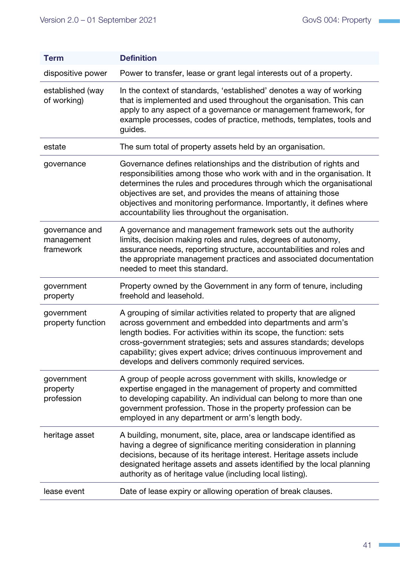| <b>Term</b>                               | <b>Definition</b>                                                                                                                                                                                                                                                                                                                                                                                                  |
|-------------------------------------------|--------------------------------------------------------------------------------------------------------------------------------------------------------------------------------------------------------------------------------------------------------------------------------------------------------------------------------------------------------------------------------------------------------------------|
| dispositive power                         | Power to transfer, lease or grant legal interests out of a property.                                                                                                                                                                                                                                                                                                                                               |
| established (way<br>of working)           | In the context of standards, 'established' denotes a way of working<br>that is implemented and used throughout the organisation. This can<br>apply to any aspect of a governance or management framework, for<br>example processes, codes of practice, methods, templates, tools and<br>guides.                                                                                                                    |
| estate                                    | The sum total of property assets held by an organisation.                                                                                                                                                                                                                                                                                                                                                          |
| governance                                | Governance defines relationships and the distribution of rights and<br>responsibilities among those who work with and in the organisation. It<br>determines the rules and procedures through which the organisational<br>objectives are set, and provides the means of attaining those<br>objectives and monitoring performance. Importantly, it defines where<br>accountability lies throughout the organisation. |
| governance and<br>management<br>framework | A governance and management framework sets out the authority<br>limits, decision making roles and rules, degrees of autonomy,<br>assurance needs, reporting structure, accountabilities and roles and<br>the appropriate management practices and associated documentation<br>needed to meet this standard.                                                                                                        |
| government<br>property                    | Property owned by the Government in any form of tenure, including<br>freehold and leasehold.                                                                                                                                                                                                                                                                                                                       |
| government<br>property function           | A grouping of similar activities related to property that are aligned<br>across government and embedded into departments and arm's<br>length bodies. For activities within its scope, the function: sets<br>cross-government strategies; sets and assures standards; develops<br>capability; gives expert advice; drives continuous improvement and<br>develops and delivers commonly required services.           |
| government<br>property<br>profession      | A group of people across government with skills, knowledge or<br>expertise engaged in the management of property and committed<br>to developing capability. An individual can belong to more than one<br>government profession. Those in the property profession can be<br>employed in any department or arm's length body.                                                                                        |
| heritage asset                            | A building, monument, site, place, area or landscape identified as<br>having a degree of significance meriting consideration in planning<br>decisions, because of its heritage interest. Heritage assets include<br>designated heritage assets and assets identified by the local planning<br>authority as of heritage value (including local listing).                                                            |
| lease event                               | Date of lease expiry or allowing operation of break clauses.                                                                                                                                                                                                                                                                                                                                                       |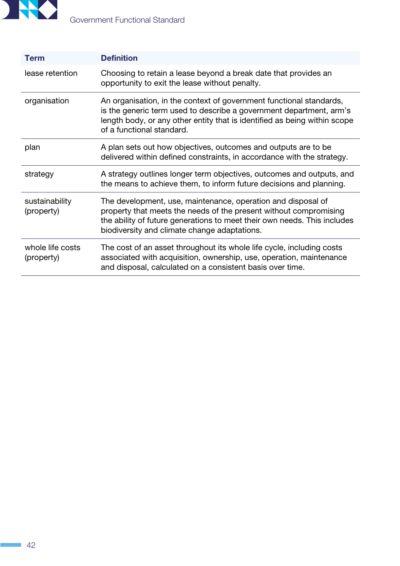

| <b>Term</b>                    | <b>Definition</b>                                                                                                                                                                                                                                             |
|--------------------------------|---------------------------------------------------------------------------------------------------------------------------------------------------------------------------------------------------------------------------------------------------------------|
| lease retention                | Choosing to retain a lease beyond a break date that provides an<br>opportunity to exit the lease without penalty.                                                                                                                                             |
| organisation                   | An organisation, in the context of government functional standards,<br>is the generic term used to describe a government department, arm's<br>length body, or any other entity that is identified as being within scope<br>of a functional standard.          |
| plan                           | A plan sets out how objectives, outcomes and outputs are to be<br>delivered within defined constraints, in accordance with the strategy.                                                                                                                      |
| strategy                       | A strategy outlines longer term objectives, outcomes and outputs, and<br>the means to achieve them, to inform future decisions and planning.                                                                                                                  |
| sustainability<br>(property)   | The development, use, maintenance, operation and disposal of<br>property that meets the needs of the present without compromising<br>the ability of future generations to meet their own needs. This includes<br>biodiversity and climate change adaptations. |
| whole life costs<br>(property) | The cost of an asset throughout its whole life cycle, including costs<br>associated with acquisition, ownership, use, operation, maintenance<br>and disposal, calculated on a consistent basis over time.                                                     |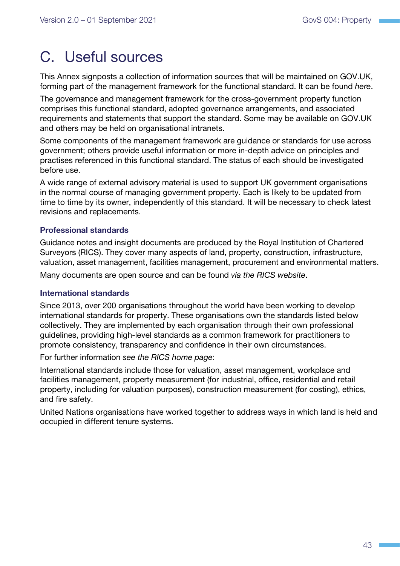## <span id="page-46-0"></span>C. Useful sources

This Annex signposts a collection of information sources that will be maintained on GOV.UK, forming part of the management framework for the functional standard. It can be found *[here](https://www.gov.uk/government/publications/government-standard-for-property-govs-004)*.

The governance and management framework for the cross-government property function comprises this functional standard, adopted governance arrangements, and associated requirements and statements that support the standard. Some may be available on GOV.UK and others may be held on organisational intranets.

Some components of the management framework are guidance or standards for use across government; others provide useful information or more in-depth advice on principles and practises referenced in this functional standard. The status of each should be investigated before use.

A wide range of external advisory material is used to support UK government organisations in the normal course of managing government property. Each is likely to be updated from time to time by its owner, independently of this standard. It will be necessary to check latest revisions and replacements.

#### Professional standards

Guidance notes and insight documents are produced by the Royal Institution of Chartered Surveyors (RICS). They cover many aspects of land, property, construction, infrastructure, valuation, asset management, facilities management, procurement and environmental matters.

Many documents are open source and can be found *[via the RICS website](https://www.rics.org/uk/upholding-professional-standards)*.

#### International standards

Since 2013, over 200 organisations throughout the world have been working to develop international standards for property. These organisations own the standards listed below collectively. They are implemented by each organisation through their own professional guidelines, providing high-level standards as a common framework for practitioners to promote consistency, transparency and confidence in their own circumstances.

For further information *[see the RICS home page](https://www.rics.org/uk)*:

International standards include those for valuation, asset management, workplace and facilities management, property measurement (for industrial, office, residential and retail property, including for valuation purposes), construction measurement (for costing), ethics, and fire safety.

United Nations organisations have worked together to address ways in which land is held and occupied in different tenure systems.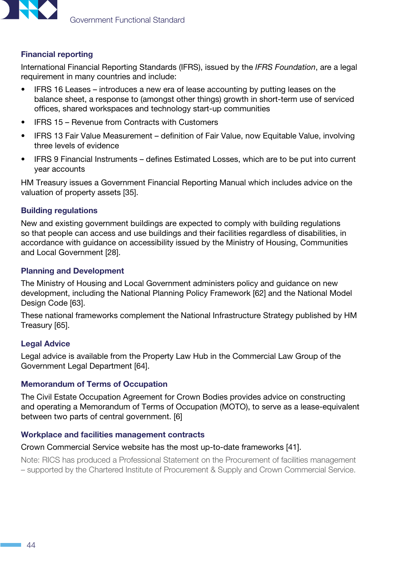

#### Financial reporting

International Financial Reporting Standards (IFRS), issued by the *[IFRS Foundation](https://www.ifrs.org/)*, are a legal requirement in many countries and [include](https://www.ifrs.org/issued-standards/list-of-standards/):

- IFRS 16 Leases introduces a new era of lease accounting by putting leases on the balance sheet, a response to (amongst other things) growth in short-term use of serviced offices, shared workspaces and technology start-up communities
- IFRS 15 Revenue from Contracts with Customers
- IFRS 13 Fair Value Measurement definition of Fair Value, now Equitable Value, involving three levels of evidence
- IFRS 9 Financial Instruments defines Estimated Losses, which are to be put into current year accounts

HM Treasury issues a Government Financial Reporting Manual which includes advice on the valuation of property assets [\[35\]](#page-40-0).

#### Building regulations

New and existing government buildings are expected to comply with building regulations so that people can access and use buildings and their facilities regardless of disabilities, in accordance with guidance on accessibility issued by the Ministry of Housing, Communities and Local Government [[28](#page-40-0)].

#### Planning and Development

The Ministry of Housing and Local Government administers policy and guidance on new development, including the National Planning Policy Framework [\[62\]](#page-41-0) and the National Model Design Code [\[63\]](#page-41-0).

These national frameworks complement the National Infrastructure Strategy published by HM Treasury [\[65](#page-41-0)].

#### Legal Advice

Legal advice is available from the Property Law Hub in the Commercial Law Group of the Government Legal Department [\[64](#page-41-0)].

#### Memorandum of Terms of Occupation

The Civil Estate Occupation Agreement for Crown Bodies provides advice on constructing and operating a Memorandum of Terms of Occupation (MOTO), to serve as a lease-equivalent between two parts of central government. [[6](#page-39-1)]

#### Workplace and facilities management contracts

#### Crown Commercial Service website has the most up-to-date frameworks [[41](#page-40-0)].

Note: RICS has produced a Professional Statement on the Procurement of facilities management – supported by the Chartered Institute of Procurement & Supply and Crown Commercial Service.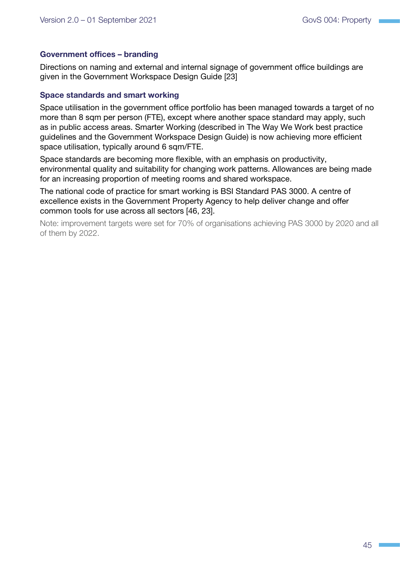#### Government offices – branding

Directions on naming and external and internal signage of government office buildings are given in the Government Workspace Design Guide [[23](#page-39-1)]

#### Space standards and smart working

Space utilisation in the government office portfolio has been managed towards a target of no more than 8 sqm per person (FTE), except where another space standard may apply, such as in public access areas. Smarter Working (described in The Way We Work best practice guidelines and the Government Workspace Design Guide) is now achieving more efficient space utilisation, typically around 6 sqm/FTE.

Space standards are becoming more flexible, with an emphasis on productivity, environmental quality and suitability for changing work patterns. Allowances are being made for an increasing proportion of meeting rooms and shared workspace.

The national code of practice for smart working is BSI Standard PAS 3000. A centre of excellence exists in the Government Property Agency to help deliver change and offer common tools for use across all sectors [\[46,](#page-42-0) [23\]](#page-39-1).

Note: improvement targets were set for 70% of organisations achieving PAS 3000 by 2020 and all of them by 2022.